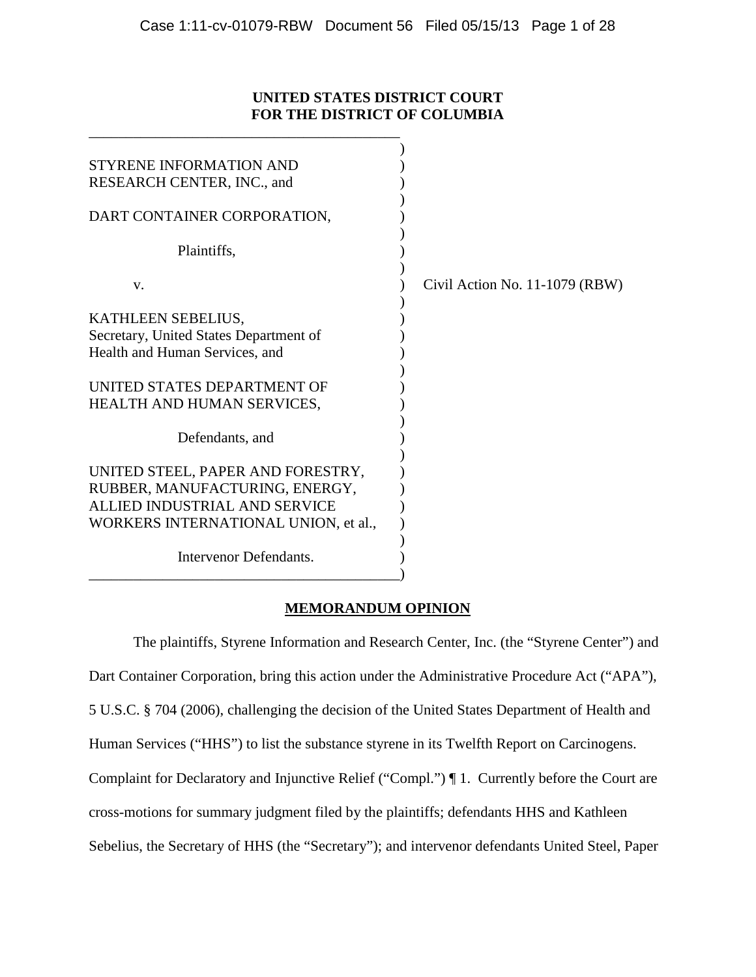# **UNITED STATES DISTRICT COURT FOR THE DISTRICT OF COLUMBIA**

\_\_\_\_\_\_\_\_\_\_\_\_\_\_\_\_\_\_\_\_\_\_\_\_\_\_\_\_\_\_\_\_\_\_\_\_\_\_\_\_\_\_

| STYRENE INFORMATION AND<br>RESEARCH CENTER, INC., and                                                                                        |                                  |
|----------------------------------------------------------------------------------------------------------------------------------------------|----------------------------------|
| DART CONTAINER CORPORATION,                                                                                                                  |                                  |
| Plaintiffs,                                                                                                                                  |                                  |
| V.                                                                                                                                           | Civil Action No. $11-1079$ (RBW) |
| KATHLEEN SEBELIUS,                                                                                                                           |                                  |
| Secretary, United States Department of                                                                                                       |                                  |
| Health and Human Services, and                                                                                                               |                                  |
| UNITED STATES DEPARTMENT OF<br>HEALTH AND HUMAN SERVICES,                                                                                    |                                  |
| Defendants, and                                                                                                                              |                                  |
| UNITED STEEL, PAPER AND FORESTRY,<br>RUBBER, MANUFACTURING, ENERGY,<br>ALLIED INDUSTRIAL AND SERVICE<br>WORKERS INTERNATIONAL UNION, et al., |                                  |
| Intervenor Defendants.                                                                                                                       |                                  |

# **MEMORANDUM OPINION**

The plaintiffs, Styrene Information and Research Center, Inc. (the "Styrene Center") and Dart Container Corporation, bring this action under the Administrative Procedure Act ("APA"), 5 U.S.C. § 704 (2006), challenging the decision of the United States Department of Health and Human Services ("HHS") to list the substance styrene in its Twelfth Report on Carcinogens. Complaint for Declaratory and Injunctive Relief ("Compl.") ¶ 1. Currently before the Court are cross-motions for summary judgment filed by the plaintiffs; defendants HHS and Kathleen Sebelius, the Secretary of HHS (the "Secretary"); and intervenor defendants United Steel, Paper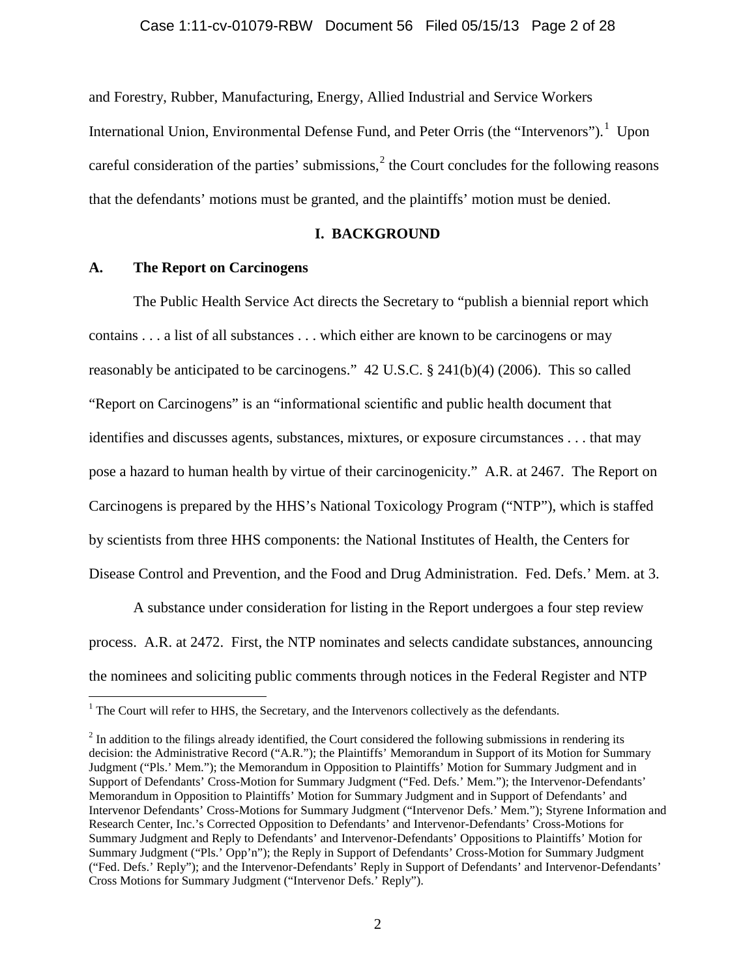and Forestry, Rubber, Manufacturing, Energy, Allied Industrial and Service Workers International Union, Environmental Defense Fund, and Peter Orris (the "Intervenors").<sup>[1](#page-1-0)</sup> Upon careful consideration of the parties' submissions, $<sup>2</sup>$  $<sup>2</sup>$  $<sup>2</sup>$  the Court concludes for the following reasons</sup> that the defendants' motions must be granted, and the plaintiffs' motion must be denied.

# **I. BACKGROUND**

## **A. The Report on Carcinogens**

The Public Health Service Act directs the Secretary to "publish a biennial report which contains . . . a list of all substances . . . which either are known to be carcinogens or may reasonably be anticipated to be carcinogens." 42 U.S.C. § 241(b)(4) (2006). This so called "Report on Carcinogens" is an "informational scientific and public health document that identifies and discusses agents, substances, mixtures, or exposure circumstances . . . that may pose a hazard to human health by virtue of their carcinogenicity." A.R. at 2467. The Report on Carcinogens is prepared by the HHS's National Toxicology Program ("NTP"), which is staffed by scientists from three HHS components: the National Institutes of Health, the Centers for Disease Control and Prevention, and the Food and Drug Administration. Fed. Defs.' Mem. at 3.

A substance under consideration for listing in the Report undergoes a four step review process. A.R. at 2472. First, the NTP nominates and selects candidate substances, announcing the nominees and soliciting public comments through notices in the Federal Register and NTP

<span id="page-1-0"></span><sup>&</sup>lt;sup>1</sup> The Court will refer to HHS, the Secretary, and the Intervenors collectively as the defendants.

<span id="page-1-1"></span> $<sup>2</sup>$  In addition to the filings already identified, the Court considered the following submissions in rendering its</sup> decision: the Administrative Record ("A.R."); the Plaintiffs' Memorandum in Support of its Motion for Summary Judgment ("Pls.' Mem."); the Memorandum in Opposition to Plaintiffs' Motion for Summary Judgment and in Support of Defendants' Cross-Motion for Summary Judgment ("Fed. Defs.' Mem."); the Intervenor-Defendants' Memorandum in Opposition to Plaintiffs' Motion for Summary Judgment and in Support of Defendants' and Intervenor Defendants' Cross-Motions for Summary Judgment ("Intervenor Defs.' Mem."); Styrene Information and Research Center, Inc.'s Corrected Opposition to Defendants' and Intervenor-Defendants' Cross-Motions for Summary Judgment and Reply to Defendants' and Intervenor-Defendants' Oppositions to Plaintiffs' Motion for Summary Judgment ("Pls.' Opp'n"); the Reply in Support of Defendants' Cross-Motion for Summary Judgment ("Fed. Defs.' Reply"); and the Intervenor-Defendants' Reply in Support of Defendants' and Intervenor-Defendants' Cross Motions for Summary Judgment ("Intervenor Defs.' Reply").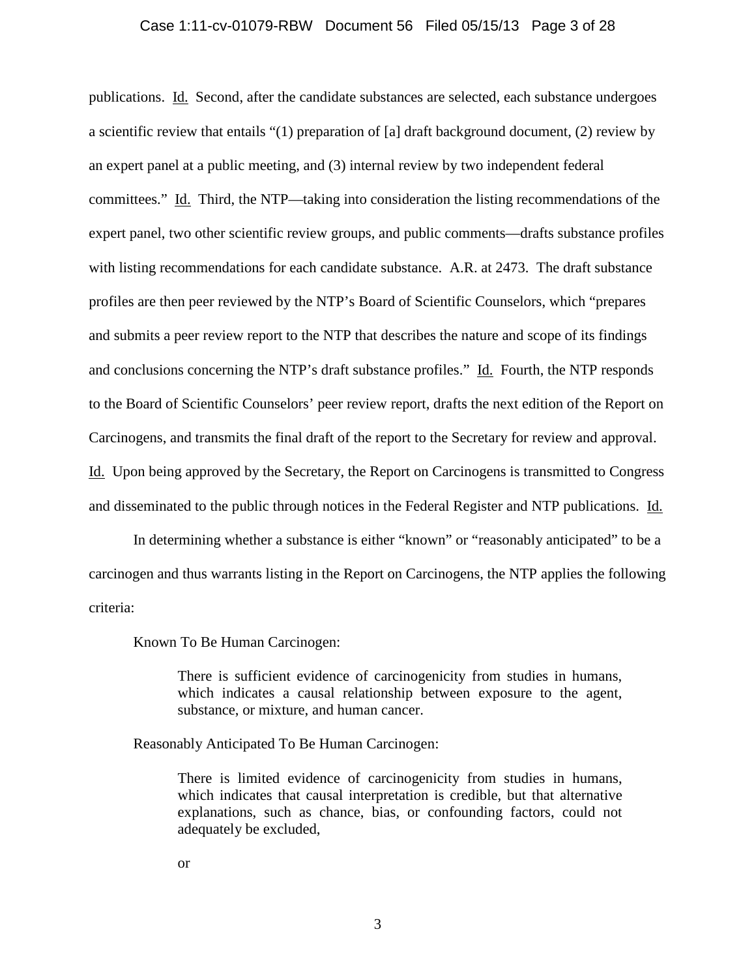#### Case 1:11-cv-01079-RBW Document 56 Filed 05/15/13 Page 3 of 28

publications. Id. Second, after the candidate substances are selected, each substance undergoes a scientific review that entails "(1) preparation of [a] draft background document, (2) review by an expert panel at a public meeting, and (3) internal review by two independent federal committees." Id. Third, the NTP—taking into consideration the listing recommendations of the expert panel, two other scientific review groups, and public comments—drafts substance profiles with listing recommendations for each candidate substance. A.R. at 2473. The draft substance profiles are then peer reviewed by the NTP's Board of Scientific Counselors, which "prepares and submits a peer review report to the NTP that describes the nature and scope of its findings and conclusions concerning the NTP's draft substance profiles." Id. Fourth, the NTP responds to the Board of Scientific Counselors' peer review report, drafts the next edition of the Report on Carcinogens, and transmits the final draft of the report to the Secretary for review and approval. Id. Upon being approved by the Secretary, the Report on Carcinogens is transmitted to Congress and disseminated to the public through notices in the Federal Register and NTP publications. Id.

In determining whether a substance is either "known" or "reasonably anticipated" to be a carcinogen and thus warrants listing in the Report on Carcinogens, the NTP applies the following criteria:

Known To Be Human Carcinogen:

There is sufficient evidence of carcinogenicity from studies in humans, which indicates a causal relationship between exposure to the agent, substance, or mixture, and human cancer.

Reasonably Anticipated To Be Human Carcinogen:

There is limited evidence of carcinogenicity from studies in humans, which indicates that causal interpretation is credible, but that alternative explanations, such as chance, bias, or confounding factors, could not adequately be excluded,

or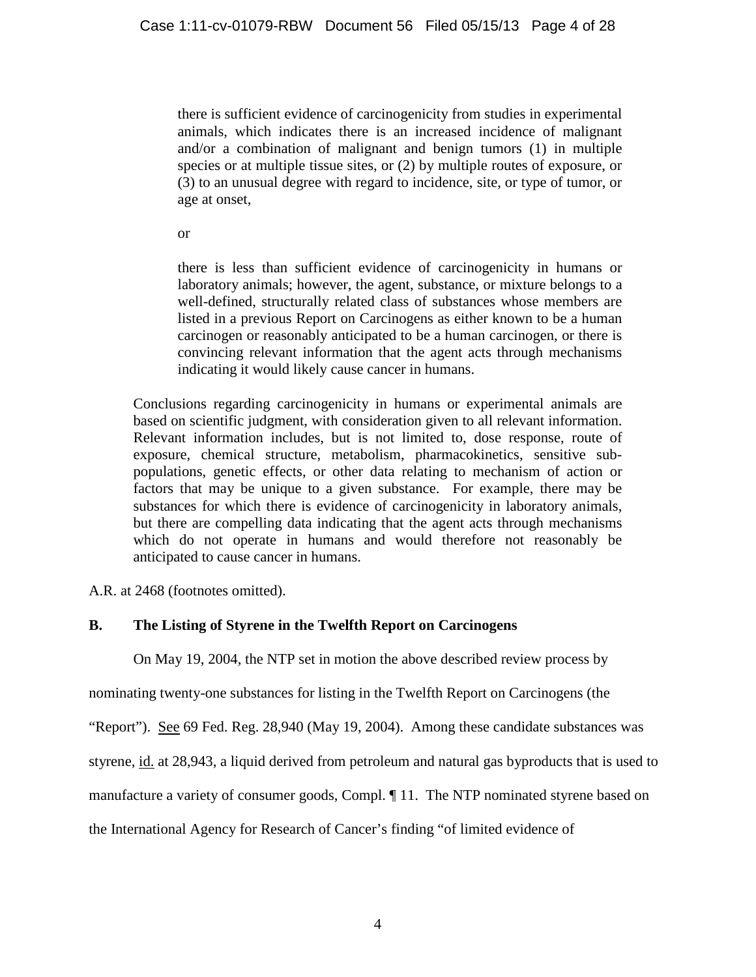there is sufficient evidence of carcinogenicity from studies in experimental animals, which indicates there is an increased incidence of malignant and/or a combination of malignant and benign tumors (1) in multiple species or at multiple tissue sites, or (2) by multiple routes of exposure, or (3) to an unusual degree with regard to incidence, site, or type of tumor, or age at onset,

or

there is less than sufficient evidence of carcinogenicity in humans or laboratory animals; however, the agent, substance, or mixture belongs to a well-defined, structurally related class of substances whose members are listed in a previous Report on Carcinogens as either known to be a human carcinogen or reasonably anticipated to be a human carcinogen, or there is convincing relevant information that the agent acts through mechanisms indicating it would likely cause cancer in humans.

Conclusions regarding carcinogenicity in humans or experimental animals are based on scientific judgment, with consideration given to all relevant information. Relevant information includes, but is not limited to, dose response, route of exposure, chemical structure, metabolism, pharmacokinetics, sensitive subpopulations, genetic effects, or other data relating to mechanism of action or factors that may be unique to a given substance. For example, there may be substances for which there is evidence of carcinogenicity in laboratory animals, but there are compelling data indicating that the agent acts through mechanisms which do not operate in humans and would therefore not reasonably be anticipated to cause cancer in humans.

A.R. at 2468 (footnotes omitted).

# **B. The Listing of Styrene in the Twelfth Report on Carcinogens**

On May 19, 2004, the NTP set in motion the above described review process by

nominating twenty-one substances for listing in the Twelfth Report on Carcinogens (the

"Report"). See 69 Fed. Reg. 28,940 (May 19, 2004). Among these candidate substances was

styrene, id. at 28,943, a liquid derived from petroleum and natural gas byproducts that is used to

manufacture a variety of consumer goods, Compl. ¶ 11. The NTP nominated styrene based on

the International Agency for Research of Cancer's finding "of limited evidence of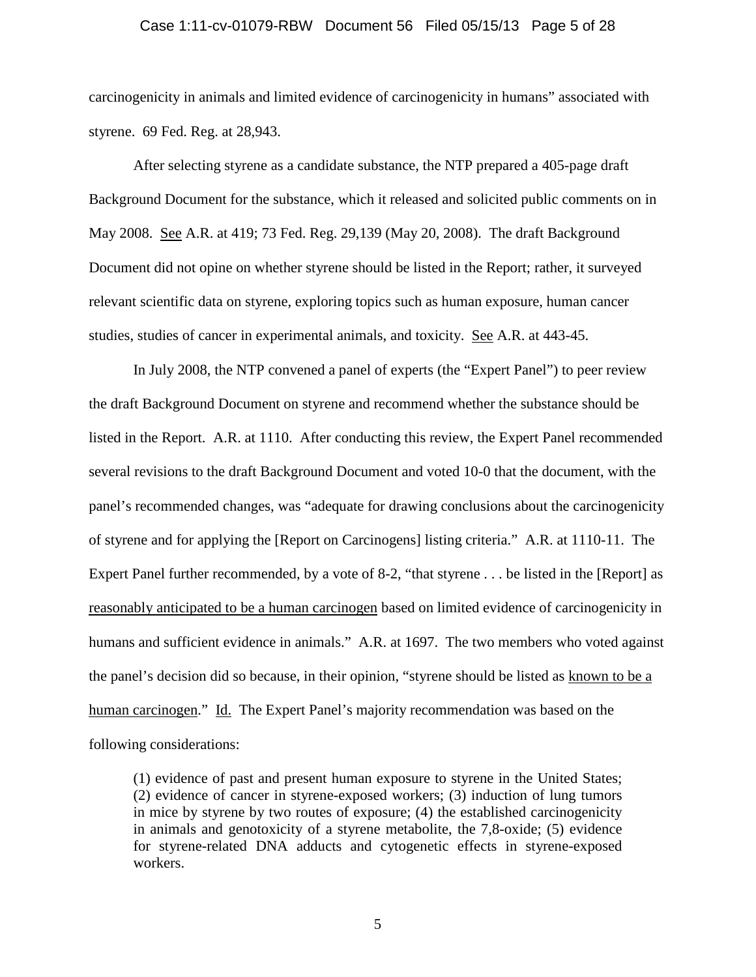#### Case 1:11-cv-01079-RBW Document 56 Filed 05/15/13 Page 5 of 28

carcinogenicity in animals and limited evidence of carcinogenicity in humans" associated with styrene. 69 Fed. Reg. at 28,943.

After selecting styrene as a candidate substance, the NTP prepared a 405-page draft Background Document for the substance, which it released and solicited public comments on in May 2008. See A.R. at 419; 73 Fed. Reg. 29,139 (May 20, 2008). The draft Background Document did not opine on whether styrene should be listed in the Report; rather, it surveyed relevant scientific data on styrene, exploring topics such as human exposure, human cancer studies, studies of cancer in experimental animals, and toxicity. See A.R. at 443-45.

In July 2008, the NTP convened a panel of experts (the "Expert Panel") to peer review the draft Background Document on styrene and recommend whether the substance should be listed in the Report. A.R. at 1110. After conducting this review, the Expert Panel recommended several revisions to the draft Background Document and voted 10-0 that the document, with the panel's recommended changes, was "adequate for drawing conclusions about the carcinogenicity of styrene and for applying the [Report on Carcinogens] listing criteria." A.R. at 1110-11. The Expert Panel further recommended, by a vote of 8-2, "that styrene . . . be listed in the [Report] as reasonably anticipated to be a human carcinogen based on limited evidence of carcinogenicity in humans and sufficient evidence in animals." A.R. at 1697. The two members who voted against the panel's decision did so because, in their opinion, "styrene should be listed as known to be a human carcinogen." Id. The Expert Panel's majority recommendation was based on the following considerations:

(1) evidence of past and present human exposure to styrene in the United States; (2) evidence of cancer in styrene-exposed workers; (3) induction of lung tumors in mice by styrene by two routes of exposure; (4) the established carcinogenicity in animals and genotoxicity of a styrene metabolite, the 7,8-oxide; (5) evidence for styrene-related DNA adducts and cytogenetic effects in styrene-exposed workers.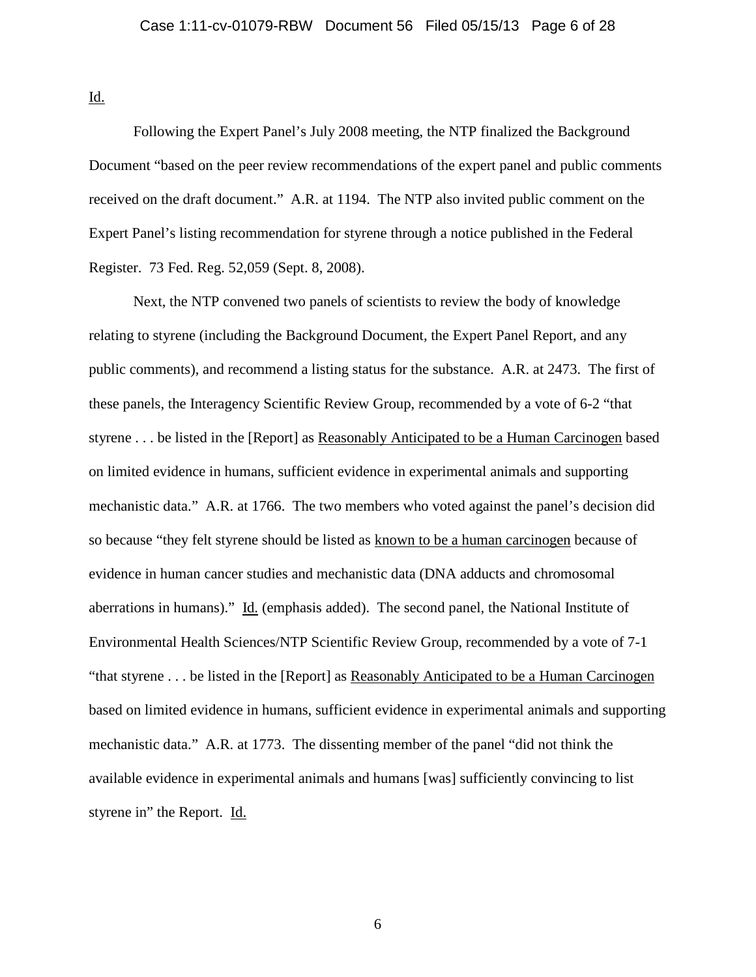Id.

Following the Expert Panel's July 2008 meeting, the NTP finalized the Background Document "based on the peer review recommendations of the expert panel and public comments received on the draft document." A.R. at 1194. The NTP also invited public comment on the Expert Panel's listing recommendation for styrene through a notice published in the Federal Register. 73 Fed. Reg. 52,059 (Sept. 8, 2008).

Next, the NTP convened two panels of scientists to review the body of knowledge relating to styrene (including the Background Document, the Expert Panel Report, and any public comments), and recommend a listing status for the substance. A.R. at 2473. The first of these panels, the Interagency Scientific Review Group, recommended by a vote of 6-2 "that styrene . . . be listed in the [Report] as Reasonably Anticipated to be a Human Carcinogen based on limited evidence in humans, sufficient evidence in experimental animals and supporting mechanistic data." A.R. at 1766. The two members who voted against the panel's decision did so because "they felt styrene should be listed as known to be a human carcinogen because of evidence in human cancer studies and mechanistic data (DNA adducts and chromosomal aberrations in humans)." Id. (emphasis added). The second panel, the National Institute of Environmental Health Sciences/NTP Scientific Review Group, recommended by a vote of 7-1 "that styrene . . . be listed in the [Report] as Reasonably Anticipated to be a Human Carcinogen based on limited evidence in humans, sufficient evidence in experimental animals and supporting mechanistic data." A.R. at 1773. The dissenting member of the panel "did not think the available evidence in experimental animals and humans [was] sufficiently convincing to list styrene in" the Report. Id.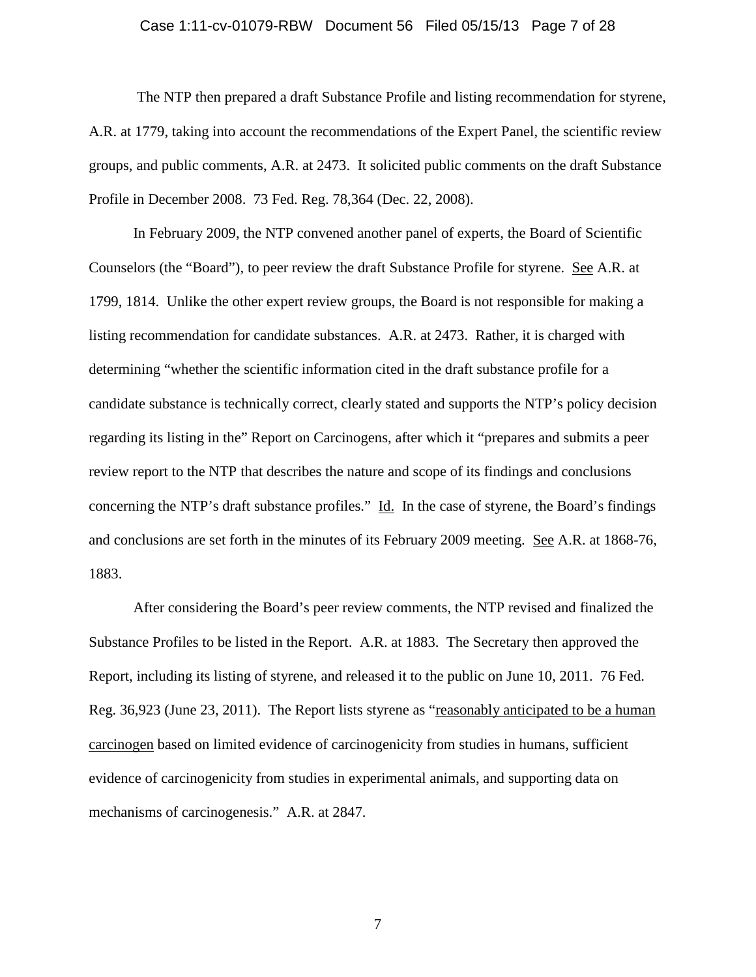#### Case 1:11-cv-01079-RBW Document 56 Filed 05/15/13 Page 7 of 28

The NTP then prepared a draft Substance Profile and listing recommendation for styrene, A.R. at 1779, taking into account the recommendations of the Expert Panel, the scientific review groups, and public comments, A.R. at 2473. It solicited public comments on the draft Substance Profile in December 2008. 73 Fed. Reg. 78,364 (Dec. 22, 2008).

In February 2009, the NTP convened another panel of experts, the Board of Scientific Counselors (the "Board"), to peer review the draft Substance Profile for styrene. See A.R. at 1799, 1814. Unlike the other expert review groups, the Board is not responsible for making a listing recommendation for candidate substances. A.R. at 2473. Rather, it is charged with determining "whether the scientific information cited in the draft substance profile for a candidate substance is technically correct, clearly stated and supports the NTP's policy decision regarding its listing in the" Report on Carcinogens, after which it "prepares and submits a peer review report to the NTP that describes the nature and scope of its findings and conclusions concerning the NTP's draft substance profiles." Id. In the case of styrene, the Board's findings and conclusions are set forth in the minutes of its February 2009 meeting. See A.R. at 1868-76, 1883.

After considering the Board's peer review comments, the NTP revised and finalized the Substance Profiles to be listed in the Report. A.R. at 1883. The Secretary then approved the Report, including its listing of styrene, and released it to the public on June 10, 2011. 76 Fed. Reg. 36,923 (June 23, 2011). The Report lists styrene as "reasonably anticipated to be a human carcinogen based on limited evidence of carcinogenicity from studies in humans, sufficient evidence of carcinogenicity from studies in experimental animals, and supporting data on mechanisms of carcinogenesis." A.R. at 2847.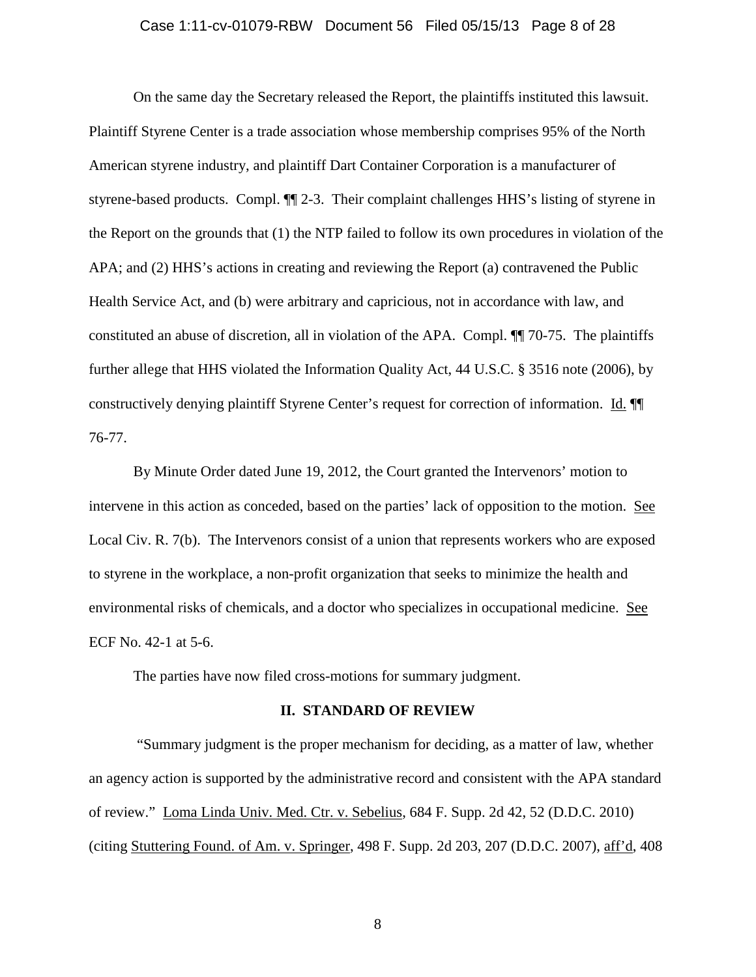## Case 1:11-cv-01079-RBW Document 56 Filed 05/15/13 Page 8 of 28

On the same day the Secretary released the Report, the plaintiffs instituted this lawsuit. Plaintiff Styrene Center is a trade association whose membership comprises 95% of the North American styrene industry, and plaintiff Dart Container Corporation is a manufacturer of styrene-based products. Compl. ¶¶ 2-3. Their complaint challenges HHS's listing of styrene in the Report on the grounds that (1) the NTP failed to follow its own procedures in violation of the APA; and (2) HHS's actions in creating and reviewing the Report (a) contravened the Public Health Service Act, and (b) were arbitrary and capricious, not in accordance with law, and constituted an abuse of discretion, all in violation of the APA. Compl. ¶¶ 70-75. The plaintiffs further allege that HHS violated the Information Quality Act, 44 U.S.C. § 3516 note (2006), by constructively denying plaintiff Styrene Center's request for correction of information. Id. ¶¶ 76-77.

By Minute Order dated June 19, 2012, the Court granted the Intervenors' motion to intervene in this action as conceded, based on the parties' lack of opposition to the motion. See Local Civ. R. 7(b). The Intervenors consist of a union that represents workers who are exposed to styrene in the workplace, a non-profit organization that seeks to minimize the health and environmental risks of chemicals, and a doctor who specializes in occupational medicine. See ECF No. 42-1 at 5-6.

The parties have now filed cross-motions for summary judgment.

#### **II. STANDARD OF REVIEW**

"Summary judgment is the proper mechanism for deciding, as a matter of law, whether an agency action is supported by the administrative record and consistent with the APA standard of review." Loma Linda Univ. Med. Ctr. v. Sebelius, 684 F. Supp. 2d 42, 52 (D.D.C. 2010) (citing Stuttering Found. of Am. v. Springer, 498 F. Supp. 2d 203, 207 (D.D.C. 2007), aff'd, 408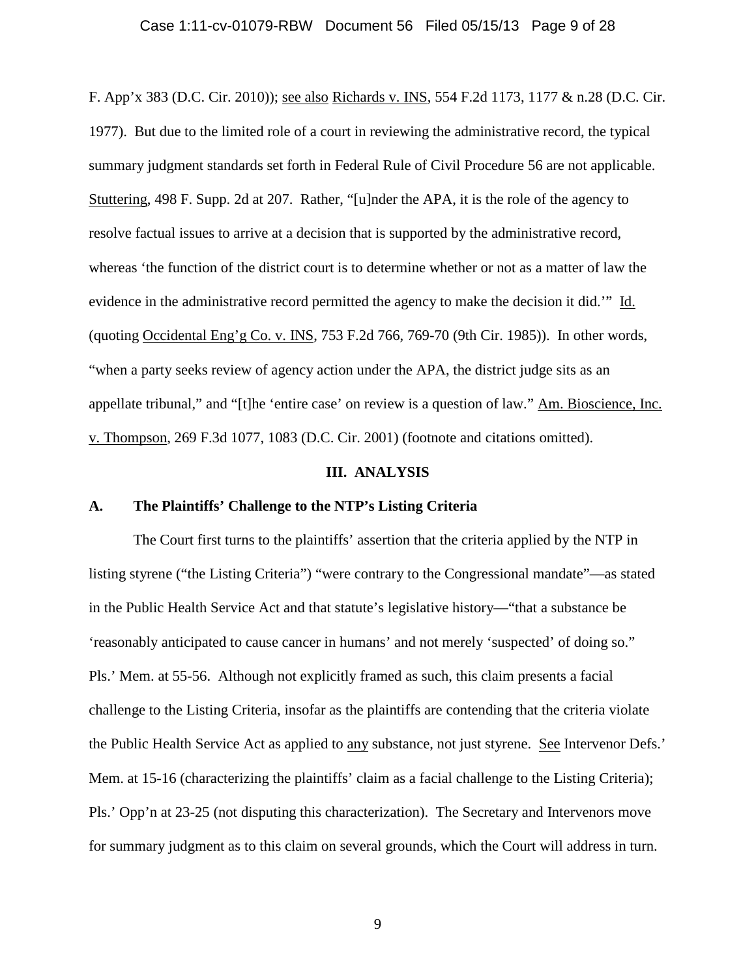#### Case 1:11-cv-01079-RBW Document 56 Filed 05/15/13 Page 9 of 28

F. App'x 383 (D.C. Cir. 2010)); see also Richards v. INS, 554 F.2d 1173, 1177 & n.28 (D.C. Cir. 1977). But due to the limited role of a court in reviewing the administrative record, the typical summary judgment standards set forth in Federal Rule of Civil Procedure 56 are not applicable. Stuttering, 498 F. Supp. 2d at 207. Rather, "[u]nder the APA, it is the role of the agency to resolve factual issues to arrive at a decision that is supported by the administrative record, whereas 'the function of the district court is to determine whether or not as a matter of law the evidence in the administrative record permitted the agency to make the decision it did.'" Id. (quoting Occidental Eng'g Co. v. INS, 753 F.2d 766, 769-70 (9th Cir. 1985)). In other words, "when a party seeks review of agency action under the APA, the district judge sits as an appellate tribunal," and "[t]he 'entire case' on review is a question of law." Am. Bioscience, Inc. v. Thompson, 269 F.3d 1077, 1083 (D.C. Cir. 2001) (footnote and citations omitted).

## **III. ANALYSIS**

#### **A. The Plaintiffs' Challenge to the NTP's Listing Criteria**

The Court first turns to the plaintiffs' assertion that the criteria applied by the NTP in listing styrene ("the Listing Criteria") "were contrary to the Congressional mandate"—as stated in the Public Health Service Act and that statute's legislative history—"that a substance be 'reasonably anticipated to cause cancer in humans' and not merely 'suspected' of doing so." Pls.' Mem. at 55-56. Although not explicitly framed as such, this claim presents a facial challenge to the Listing Criteria, insofar as the plaintiffs are contending that the criteria violate the Public Health Service Act as applied to any substance, not just styrene. See Intervenor Defs.' Mem. at 15-16 (characterizing the plaintiffs' claim as a facial challenge to the Listing Criteria); Pls.' Opp'n at 23-25 (not disputing this characterization). The Secretary and Intervenors move for summary judgment as to this claim on several grounds, which the Court will address in turn.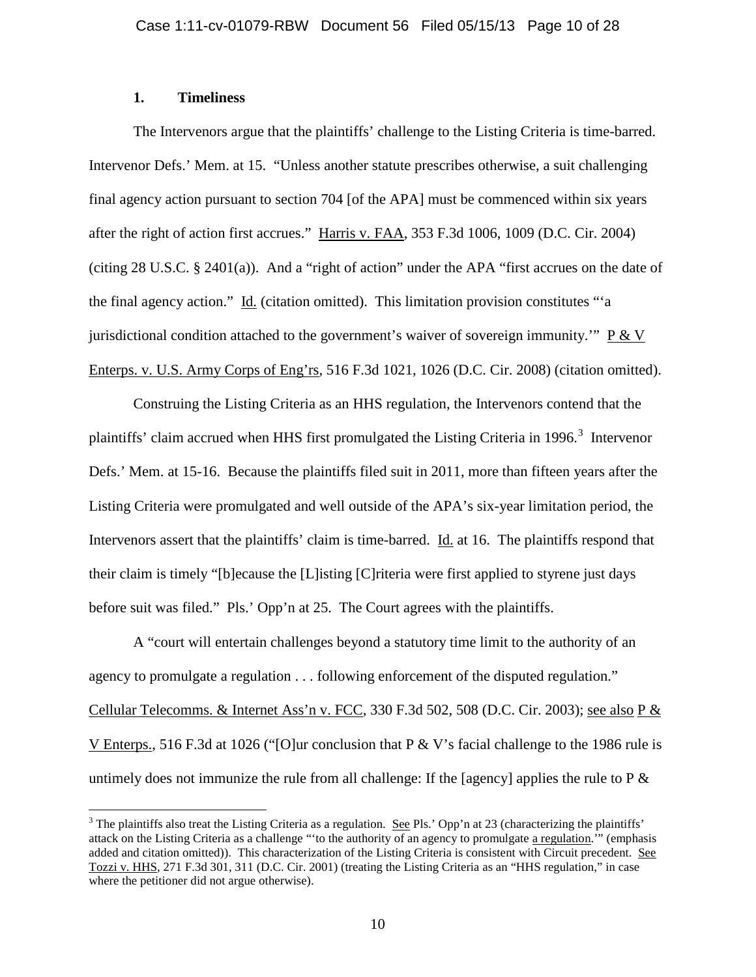# **1. Timeliness**

The Intervenors argue that the plaintiffs' challenge to the Listing Criteria is time-barred. Intervenor Defs.' Mem. at 15. "Unless another statute prescribes otherwise, a suit challenging final agency action pursuant to section 704 [of the APA] must be commenced within six years after the right of action first accrues." Harris v. FAA, 353 F.3d 1006, 1009 (D.C. Cir. 2004) (citing 28 U.S.C. § 2401(a)). And a "right of action" under the APA "first accrues on the date of the final agency action." Id. (citation omitted). This limitation provision constitutes "'a jurisdictional condition attached to the government's waiver of sovereign immunity."  $P \& V$ Enterps. v. U.S. Army Corps of Eng'rs, 516 F.3d 1021, 1026 (D.C. Cir. 2008) (citation omitted).

Construing the Listing Criteria as an HHS regulation, the Intervenors contend that the plaintiffs' claim accrued when HHS first promulgated the Listing Criteria in 1996.<sup>[3](#page-9-0)</sup> Intervenor Defs.' Mem. at 15-16. Because the plaintiffs filed suit in 2011, more than fifteen years after the Listing Criteria were promulgated and well outside of the APA's six-year limitation period, the Intervenors assert that the plaintiffs' claim is time-barred. Id. at 16. The plaintiffs respond that their claim is timely "[b]ecause the [L]isting [C]riteria were first applied to styrene just days before suit was filed." Pls.' Opp'n at 25. The Court agrees with the plaintiffs.

A "court will entertain challenges beyond a statutory time limit to the authority of an agency to promulgate a regulation . . . following enforcement of the disputed regulation." Cellular Telecomms. & Internet Ass'n v. FCC, 330 F.3d 502, 508 (D.C. Cir. 2003); see also P  $\&$ V Enterps., 516 F.3d at 1026 ("[O]ur conclusion that P & V's facial challenge to the 1986 rule is untimely does not immunize the rule from all challenge: If the [agency] applies the rule to  $P \&$ 

<span id="page-9-0"></span> $3$  The plaintiffs also treat the Listing Criteria as a regulation. See Pls.' Opp'n at 23 (characterizing the plaintiffs' attack on the Listing Criteria as a challenge "'to the authority of an agency to promulgate a regulation.'" (emphasis added and citation omitted)). This characterization of the Listing Criteria is consistent with Circuit precedent. See Tozzi v. HHS, 271 F.3d 301, 311 (D.C. Cir. 2001) (treating the Listing Criteria as an "HHS regulation," in case where the petitioner did not argue otherwise).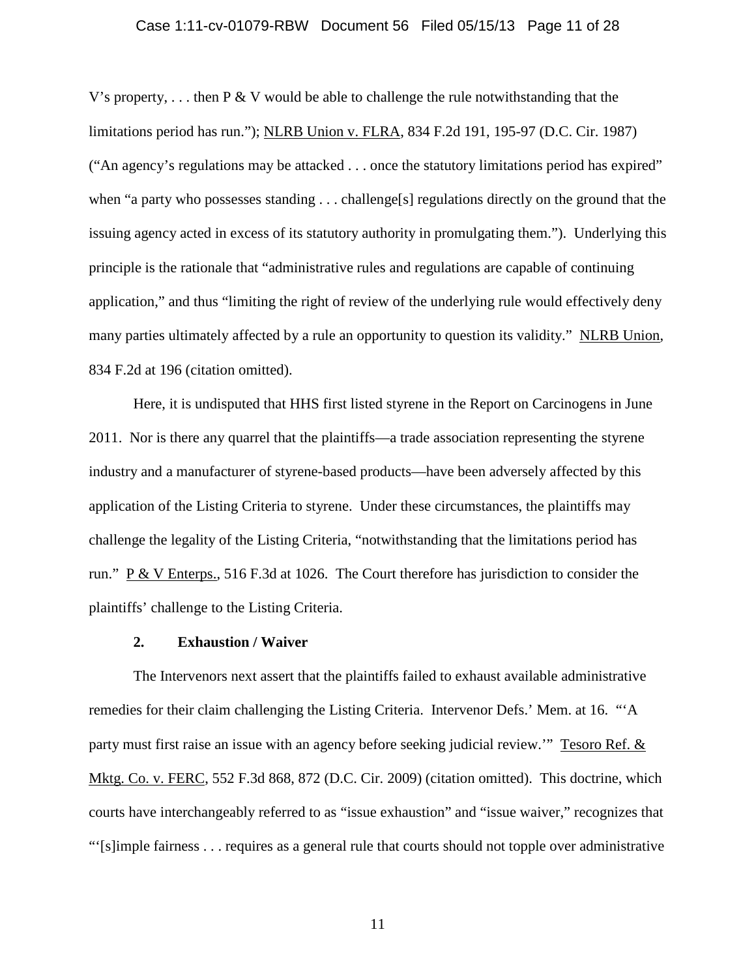## Case 1:11-cv-01079-RBW Document 56 Filed 05/15/13 Page 11 of 28

V's property,  $\dots$  then P & V would be able to challenge the rule notwithstanding that the limitations period has run."); NLRB Union v. FLRA, 834 F.2d 191, 195-97 (D.C. Cir. 1987) ("An agency's regulations may be attacked . . . once the statutory limitations period has expired" when "a party who possesses standing . . . challenge[s] regulations directly on the ground that the issuing agency acted in excess of its statutory authority in promulgating them."). Underlying this principle is the rationale that "administrative rules and regulations are capable of continuing application," and thus "limiting the right of review of the underlying rule would effectively deny many parties ultimately affected by a rule an opportunity to question its validity." NLRB Union, 834 F.2d at 196 (citation omitted).

Here, it is undisputed that HHS first listed styrene in the Report on Carcinogens in June 2011. Nor is there any quarrel that the plaintiffs—a trade association representing the styrene industry and a manufacturer of styrene-based products—have been adversely affected by this application of the Listing Criteria to styrene. Under these circumstances, the plaintiffs may challenge the legality of the Listing Criteria, "notwithstanding that the limitations period has run."  $\underline{P} \& \underline{V}$  Enterps., 516 F.3d at 1026. The Court therefore has jurisdiction to consider the plaintiffs' challenge to the Listing Criteria.

#### **2. Exhaustion / Waiver**

The Intervenors next assert that the plaintiffs failed to exhaust available administrative remedies for their claim challenging the Listing Criteria. Intervenor Defs.' Mem. at 16. "'A party must first raise an issue with an agency before seeking judicial review.'" Tesoro Ref. & Mktg. Co. v. FERC, 552 F.3d 868, 872 (D.C. Cir. 2009) (citation omitted). This doctrine, which courts have interchangeably referred to as "issue exhaustion" and "issue waiver," recognizes that "'[s]imple fairness . . . requires as a general rule that courts should not topple over administrative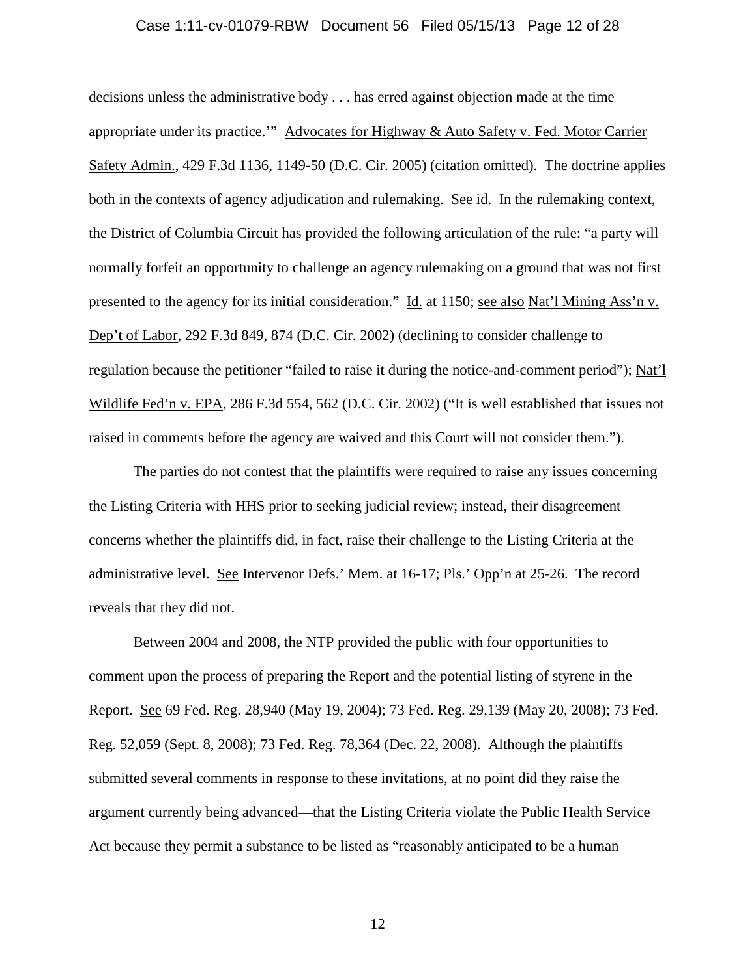## Case 1:11-cv-01079-RBW Document 56 Filed 05/15/13 Page 12 of 28

decisions unless the administrative body . . . has erred against objection made at the time appropriate under its practice.'" Advocates for Highway & Auto Safety v. Fed. Motor Carrier Safety Admin., 429 F.3d 1136, 1149-50 (D.C. Cir. 2005) (citation omitted). The doctrine applies both in the contexts of agency adjudication and rulemaking. See id. In the rulemaking context, the District of Columbia Circuit has provided the following articulation of the rule: "a party will normally forfeit an opportunity to challenge an agency rulemaking on a ground that was not first presented to the agency for its initial consideration." Id. at 1150; see also Nat'l Mining Ass'n v. Dep't of Labor, 292 F.3d 849, 874 (D.C. Cir. 2002) (declining to consider challenge to regulation because the petitioner "failed to raise it during the notice-and-comment period"); Nat'l Wildlife Fed'n v. EPA, 286 F.3d 554, 562 (D.C. Cir. 2002) ("It is well established that issues not raised in comments before the agency are waived and this Court will not consider them.").

The parties do not contest that the plaintiffs were required to raise any issues concerning the Listing Criteria with HHS prior to seeking judicial review; instead, their disagreement concerns whether the plaintiffs did, in fact, raise their challenge to the Listing Criteria at the administrative level. See Intervenor Defs.' Mem. at 16-17; Pls.' Opp'n at 25-26. The record reveals that they did not.

Between 2004 and 2008, the NTP provided the public with four opportunities to comment upon the process of preparing the Report and the potential listing of styrene in the Report. See 69 Fed. Reg. 28,940 (May 19, 2004); 73 Fed. Reg. 29,139 (May 20, 2008); 73 Fed. Reg. 52,059 (Sept. 8, 2008); 73 Fed. Reg. 78,364 (Dec. 22, 2008). Although the plaintiffs submitted several comments in response to these invitations, at no point did they raise the argument currently being advanced—that the Listing Criteria violate the Public Health Service Act because they permit a substance to be listed as "reasonably anticipated to be a human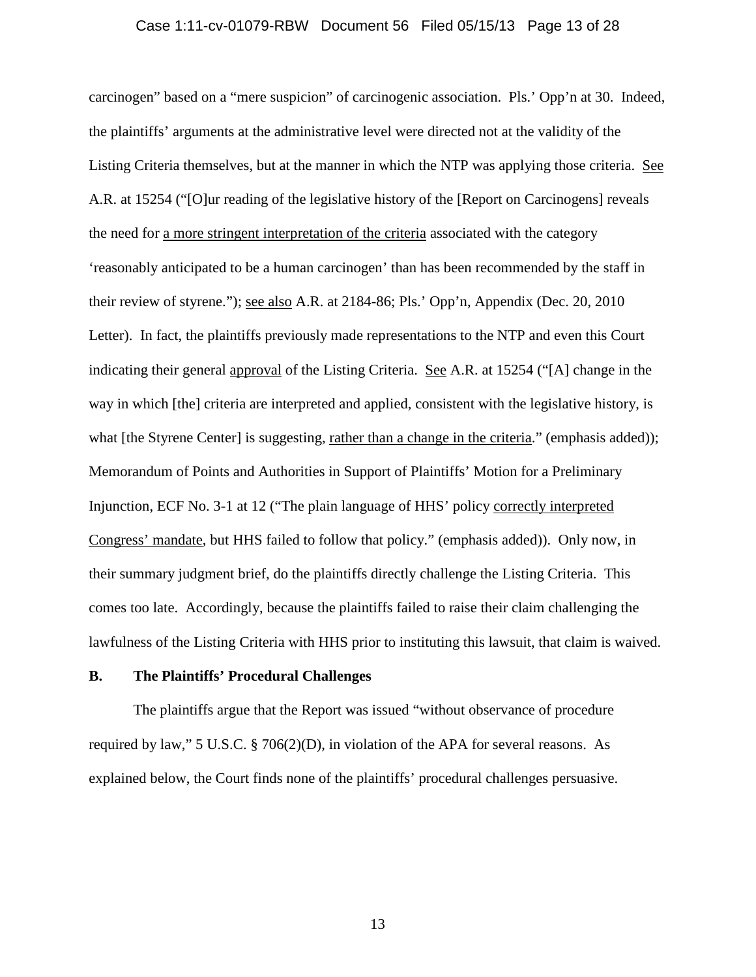## Case 1:11-cv-01079-RBW Document 56 Filed 05/15/13 Page 13 of 28

carcinogen" based on a "mere suspicion" of carcinogenic association. Pls.' Opp'n at 30. Indeed, the plaintiffs' arguments at the administrative level were directed not at the validity of the Listing Criteria themselves, but at the manner in which the NTP was applying those criteria. See A.R. at 15254 ("[O]ur reading of the legislative history of the [Report on Carcinogens] reveals the need for a more stringent interpretation of the criteria associated with the category 'reasonably anticipated to be a human carcinogen' than has been recommended by the staff in their review of styrene."); see also A.R. at 2184-86; Pls.' Opp'n, Appendix (Dec. 20, 2010 Letter). In fact, the plaintiffs previously made representations to the NTP and even this Court indicating their general approval of the Listing Criteria. See A.R. at 15254 ("[A] change in the way in which [the] criteria are interpreted and applied, consistent with the legislative history, is what [the Styrene Center] is suggesting, rather than a change in the criteria." (emphasis added)); Memorandum of Points and Authorities in Support of Plaintiffs' Motion for a Preliminary Injunction, ECF No. 3-1 at 12 ("The plain language of HHS' policy correctly interpreted Congress' mandate, but HHS failed to follow that policy." (emphasis added)). Only now, in their summary judgment brief, do the plaintiffs directly challenge the Listing Criteria. This comes too late. Accordingly, because the plaintiffs failed to raise their claim challenging the lawfulness of the Listing Criteria with HHS prior to instituting this lawsuit, that claim is waived.

## **B. The Plaintiffs' Procedural Challenges**

The plaintiffs argue that the Report was issued "without observance of procedure required by law," 5 U.S.C. § 706(2)(D), in violation of the APA for several reasons. As explained below, the Court finds none of the plaintiffs' procedural challenges persuasive.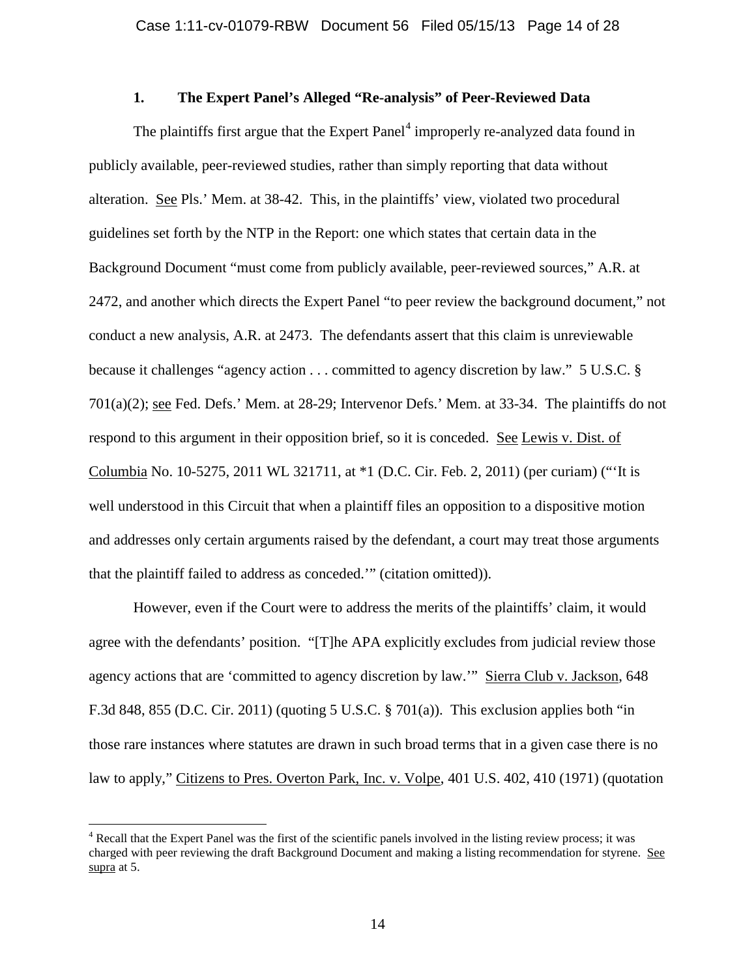# **1. The Expert Panel's Alleged "Re-analysis" of Peer-Reviewed Data**

The plaintiffs first argue that the  $Expert Panel<sup>4</sup>$  $Expert Panel<sup>4</sup>$  $Expert Panel<sup>4</sup>$  improperly re-analyzed data found in publicly available, peer-reviewed studies, rather than simply reporting that data without alteration. See Pls.' Mem. at 38-42. This, in the plaintiffs' view, violated two procedural guidelines set forth by the NTP in the Report: one which states that certain data in the Background Document "must come from publicly available, peer-reviewed sources," A.R. at 2472, and another which directs the Expert Panel "to peer review the background document," not conduct a new analysis, A.R. at 2473. The defendants assert that this claim is unreviewable because it challenges "agency action . . . committed to agency discretion by law." 5 U.S.C. § 701(a)(2); see Fed. Defs.' Mem. at 28-29; Intervenor Defs.' Mem. at 33-34. The plaintiffs do not respond to this argument in their opposition brief, so it is conceded. See Lewis v. Dist. of Columbia No. 10-5275, 2011 WL 321711, at \*1 (D.C. Cir. Feb. 2, 2011) (per curiam) ("'It is well understood in this Circuit that when a plaintiff files an opposition to a dispositive motion and addresses only certain arguments raised by the defendant, a court may treat those arguments that the plaintiff failed to address as conceded.'" (citation omitted)).

However, even if the Court were to address the merits of the plaintiffs' claim, it would agree with the defendants' position. "[T]he APA explicitly excludes from judicial review those agency actions that are 'committed to agency discretion by law.'" Sierra Club v. Jackson, 648 F.3d 848, 855 (D.C. Cir. 2011) (quoting 5 U.S.C. § 701(a)). This exclusion applies both "in those rare instances where statutes are drawn in such broad terms that in a given case there is no law to apply," Citizens to Pres. Overton Park, Inc. v. Volpe, 401 U.S. 402, 410 (1971) (quotation

<span id="page-13-0"></span><sup>&</sup>lt;sup>4</sup> Recall that the Expert Panel was the first of the scientific panels involved in the listing review process; it was charged with peer reviewing the draft Background Document and making a listing recommendation for styrene. See supra at 5.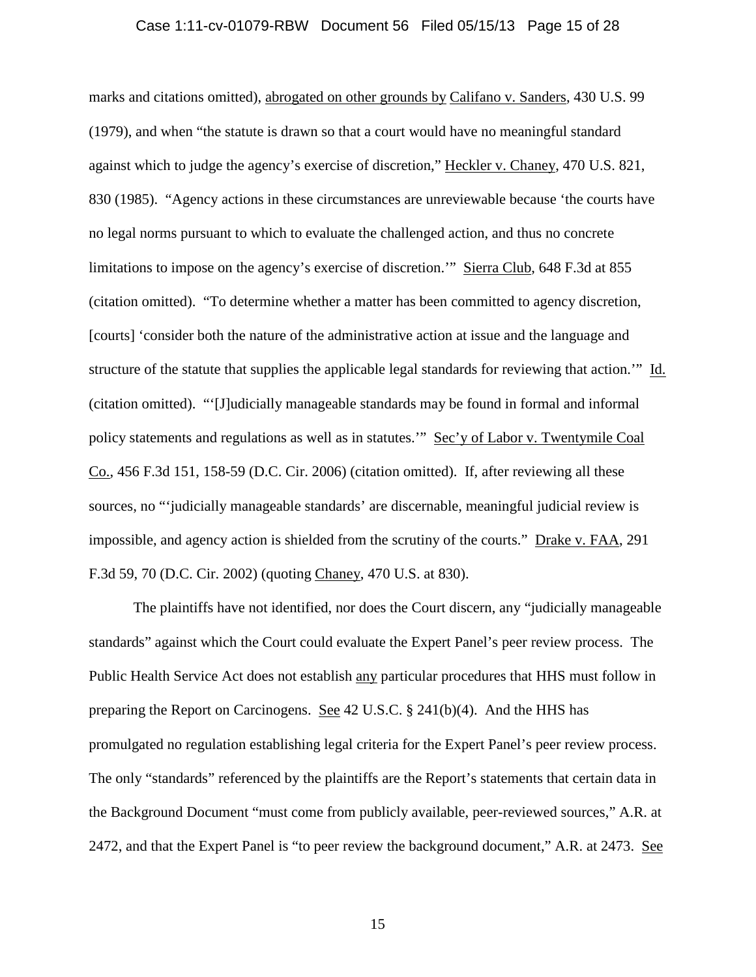## Case 1:11-cv-01079-RBW Document 56 Filed 05/15/13 Page 15 of 28

marks and citations omitted), abrogated on other grounds by Califano v. Sanders, 430 U.S. 99 (1979), and when "the statute is drawn so that a court would have no meaningful standard against which to judge the agency's exercise of discretion," Heckler v. Chaney, 470 U.S. 821, 830 (1985). "Agency actions in these circumstances are unreviewable because 'the courts have no legal norms pursuant to which to evaluate the challenged action, and thus no concrete limitations to impose on the agency's exercise of discretion.'" Sierra Club, 648 F.3d at 855 (citation omitted). "To determine whether a matter has been committed to agency discretion, [courts] 'consider both the nature of the administrative action at issue and the language and structure of the statute that supplies the applicable legal standards for reviewing that action.'" Id. (citation omitted). "'[J]udicially manageable standards may be found in formal and informal policy statements and regulations as well as in statutes.'" Sec'y of Labor v. Twentymile Coal Co., 456 F.3d 151, 158-59 (D.C. Cir. 2006) (citation omitted). If, after reviewing all these sources, no "'judicially manageable standards' are discernable, meaningful judicial review is impossible, and agency action is shielded from the scrutiny of the courts." Drake v. FAA, 291 F.3d 59, 70 (D.C. Cir. 2002) (quoting Chaney, 470 U.S. at 830).

The plaintiffs have not identified, nor does the Court discern, any "judicially manageable standards" against which the Court could evaluate the Expert Panel's peer review process. The Public Health Service Act does not establish any particular procedures that HHS must follow in preparing the Report on Carcinogens. See 42 U.S.C. § 241(b)(4). And the HHS has promulgated no regulation establishing legal criteria for the Expert Panel's peer review process. The only "standards" referenced by the plaintiffs are the Report's statements that certain data in the Background Document "must come from publicly available, peer-reviewed sources," A.R. at 2472, and that the Expert Panel is "to peer review the background document," A.R. at 2473. See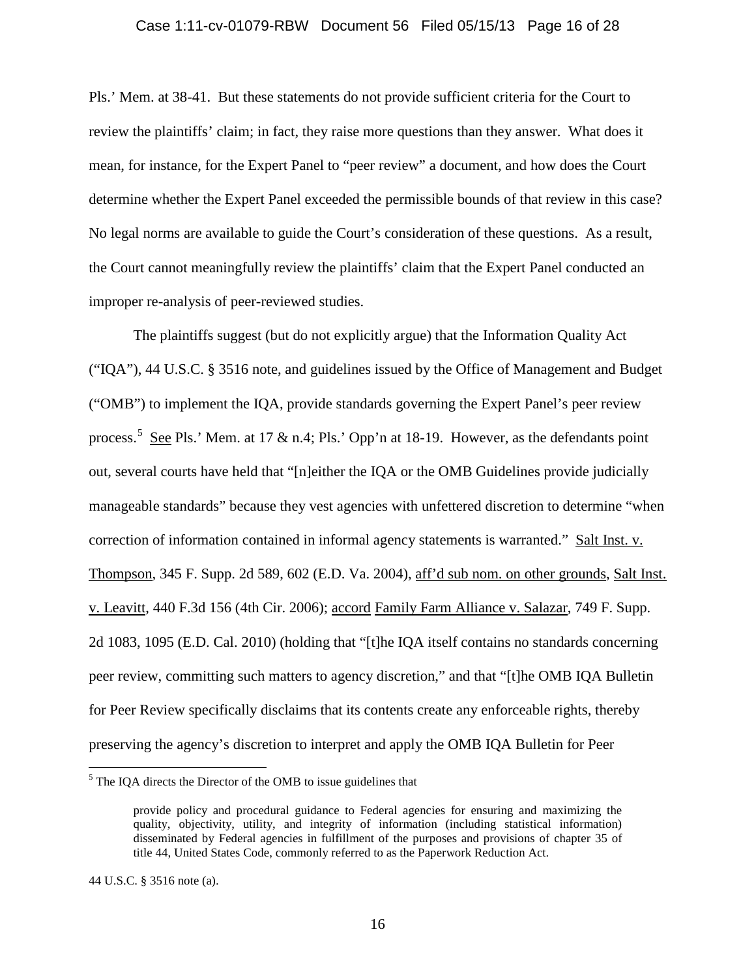## Case 1:11-cv-01079-RBW Document 56 Filed 05/15/13 Page 16 of 28

Pls.' Mem. at 38-41. But these statements do not provide sufficient criteria for the Court to review the plaintiffs' claim; in fact, they raise more questions than they answer. What does it mean, for instance, for the Expert Panel to "peer review" a document, and how does the Court determine whether the Expert Panel exceeded the permissible bounds of that review in this case? No legal norms are available to guide the Court's consideration of these questions. As a result, the Court cannot meaningfully review the plaintiffs' claim that the Expert Panel conducted an improper re-analysis of peer-reviewed studies.

The plaintiffs suggest (but do not explicitly argue) that the Information Quality Act ("IQA"), 44 U.S.C. § 3516 note, and guidelines issued by the Office of Management and Budget ("OMB") to implement the IQA, provide standards governing the Expert Panel's peer review process.<sup>[5](#page-15-0)</sup> See Pls.' Mem. at 17 & n.4; Pls.' Opp'n at 18-19. However, as the defendants point out, several courts have held that "[n]either the IQA or the OMB Guidelines provide judicially manageable standards" because they vest agencies with unfettered discretion to determine "when correction of information contained in informal agency statements is warranted." Salt Inst. v. Thompson, 345 F. Supp. 2d 589, 602 (E.D. Va. 2004), aff'd sub nom. on other grounds, Salt Inst. v. Leavitt, 440 F.3d 156 (4th Cir. 2006); accord Family Farm Alliance v. Salazar, 749 F. Supp. 2d 1083, 1095 (E.D. Cal. 2010) (holding that "[t]he IQA itself contains no standards concerning peer review, committing such matters to agency discretion," and that "[t]he OMB IQA Bulletin for Peer Review specifically disclaims that its contents create any enforceable rights, thereby preserving the agency's discretion to interpret and apply the OMB IQA Bulletin for Peer

<span id="page-15-0"></span><sup>&</sup>lt;sup>5</sup> The IOA directs the Director of the OMB to issue guidelines that

provide policy and procedural guidance to Federal agencies for ensuring and maximizing the quality, objectivity, utility, and integrity of information (including statistical information) disseminated by Federal agencies in fulfillment of the purposes and provisions of chapter 35 of title 44, United States Code, commonly referred to as the Paperwork Reduction Act.

<sup>44</sup> U.S.C. § 3516 note (a).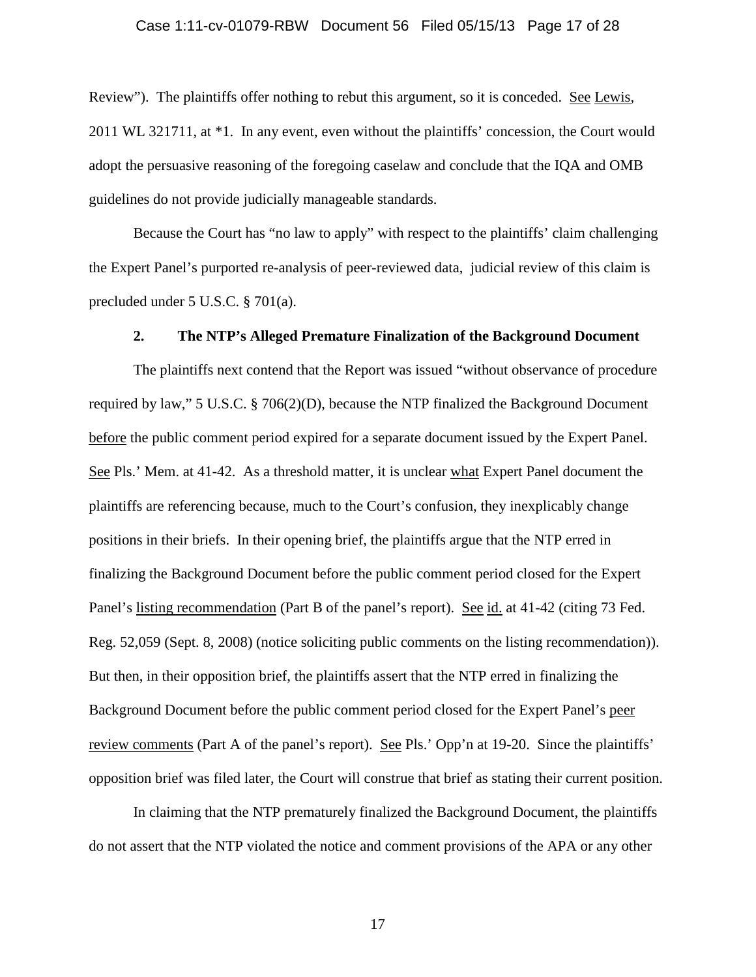## Case 1:11-cv-01079-RBW Document 56 Filed 05/15/13 Page 17 of 28

Review"). The plaintiffs offer nothing to rebut this argument, so it is conceded. See Lewis, 2011 WL 321711, at \*1. In any event, even without the plaintiffs' concession, the Court would adopt the persuasive reasoning of the foregoing caselaw and conclude that the IQA and OMB guidelines do not provide judicially manageable standards.

Because the Court has "no law to apply" with respect to the plaintiffs' claim challenging the Expert Panel's purported re-analysis of peer-reviewed data, judicial review of this claim is precluded under 5 U.S.C. § 701(a).

#### **2. The NTP's Alleged Premature Finalization of the Background Document**

The plaintiffs next contend that the Report was issued "without observance of procedure required by law," 5 U.S.C. § 706(2)(D), because the NTP finalized the Background Document before the public comment period expired for a separate document issued by the Expert Panel. See Pls.' Mem. at 41-42. As a threshold matter, it is unclear what Expert Panel document the plaintiffs are referencing because, much to the Court's confusion, they inexplicably change positions in their briefs. In their opening brief, the plaintiffs argue that the NTP erred in finalizing the Background Document before the public comment period closed for the Expert Panel's listing recommendation (Part B of the panel's report). See id. at 41-42 (citing 73 Fed. Reg. 52,059 (Sept. 8, 2008) (notice soliciting public comments on the listing recommendation)). But then, in their opposition brief, the plaintiffs assert that the NTP erred in finalizing the Background Document before the public comment period closed for the Expert Panel's peer review comments (Part A of the panel's report). See Pls.' Opp'n at 19-20. Since the plaintiffs' opposition brief was filed later, the Court will construe that brief as stating their current position.

In claiming that the NTP prematurely finalized the Background Document, the plaintiffs do not assert that the NTP violated the notice and comment provisions of the APA or any other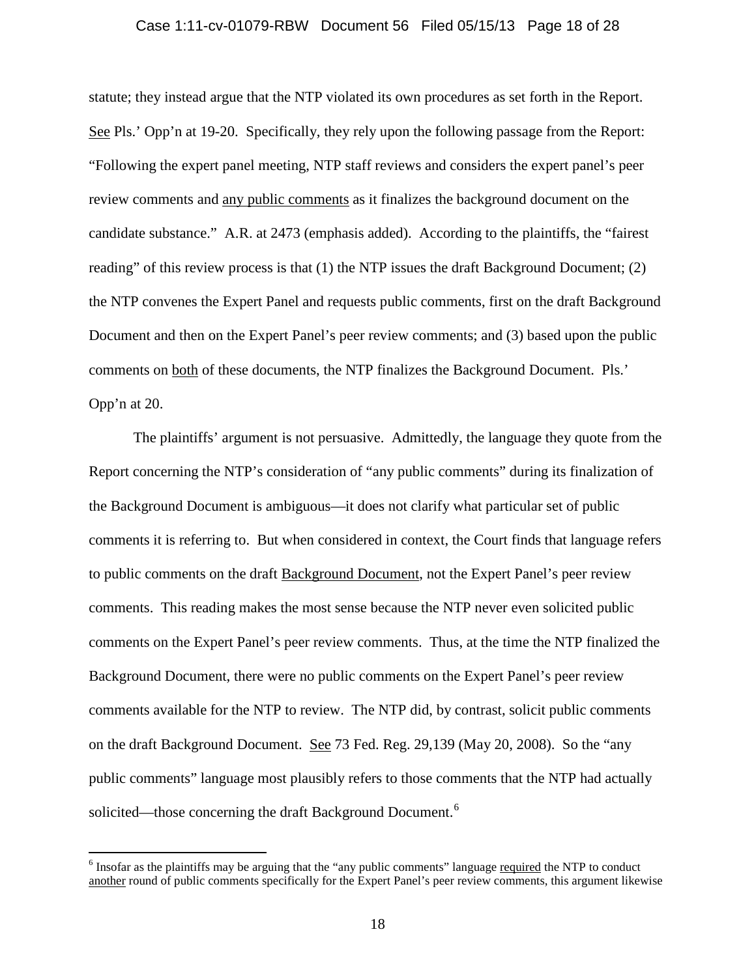## Case 1:11-cv-01079-RBW Document 56 Filed 05/15/13 Page 18 of 28

statute; they instead argue that the NTP violated its own procedures as set forth in the Report. See Pls.' Opp'n at 19-20. Specifically, they rely upon the following passage from the Report: "Following the expert panel meeting, NTP staff reviews and considers the expert panel's peer review comments and any public comments as it finalizes the background document on the candidate substance." A.R. at 2473 (emphasis added). According to the plaintiffs, the "fairest reading" of this review process is that (1) the NTP issues the draft Background Document; (2) the NTP convenes the Expert Panel and requests public comments, first on the draft Background Document and then on the Expert Panel's peer review comments; and (3) based upon the public comments on both of these documents, the NTP finalizes the Background Document. Pls.' Opp'n at 20.

The plaintiffs' argument is not persuasive. Admittedly, the language they quote from the Report concerning the NTP's consideration of "any public comments" during its finalization of the Background Document is ambiguous—it does not clarify what particular set of public comments it is referring to. But when considered in context, the Court finds that language refers to public comments on the draft Background Document, not the Expert Panel's peer review comments. This reading makes the most sense because the NTP never even solicited public comments on the Expert Panel's peer review comments. Thus, at the time the NTP finalized the Background Document, there were no public comments on the Expert Panel's peer review comments available for the NTP to review. The NTP did, by contrast, solicit public comments on the draft Background Document. See 73 Fed. Reg. 29,139 (May 20, 2008). So the "any public comments" language most plausibly refers to those comments that the NTP had actually solicited—those concerning the draft Background Document.<sup>[6](#page-17-0)</sup>

<span id="page-17-0"></span> $6$  Insofar as the plaintiffs may be arguing that the "any public comments" language required the NTP to conduct another round of public comments specifically for the Expert Panel's peer review comments, this argument likewise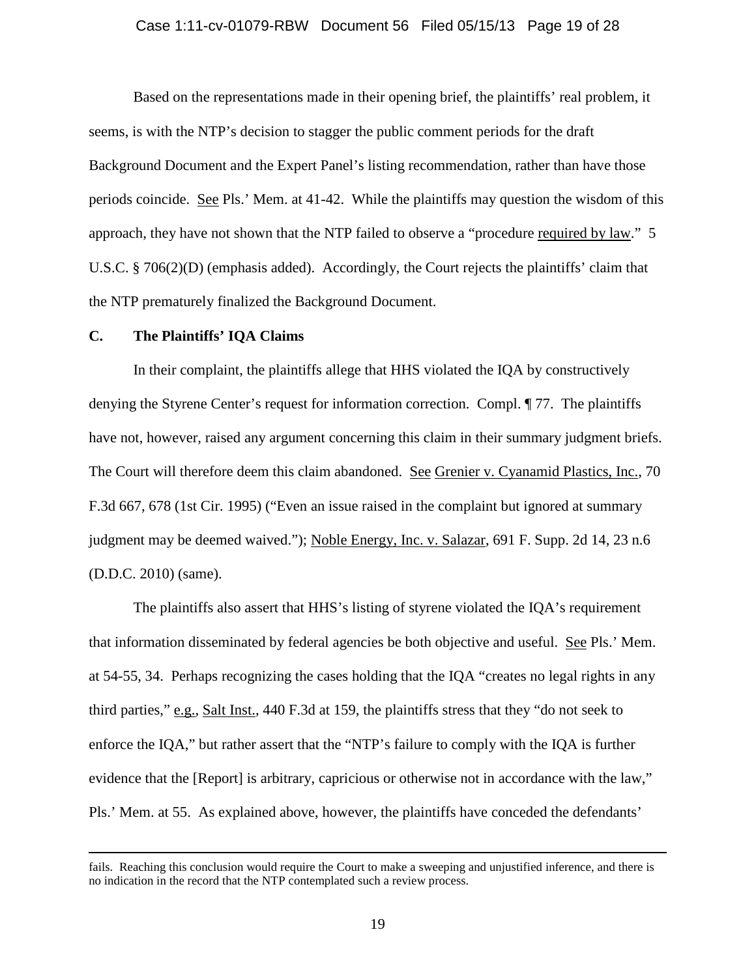## Case 1:11-cv-01079-RBW Document 56 Filed 05/15/13 Page 19 of 28

Based on the representations made in their opening brief, the plaintiffs' real problem, it seems, is with the NTP's decision to stagger the public comment periods for the draft Background Document and the Expert Panel's listing recommendation, rather than have those periods coincide. See Pls.' Mem. at 41-42. While the plaintiffs may question the wisdom of this approach, they have not shown that the NTP failed to observe a "procedure required by law." 5 U.S.C. § 706(2)(D) (emphasis added). Accordingly, the Court rejects the plaintiffs' claim that the NTP prematurely finalized the Background Document.

## **C. The Plaintiffs' IQA Claims**

 $\overline{a}$ 

In their complaint, the plaintiffs allege that HHS violated the IQA by constructively denying the Styrene Center's request for information correction. Compl. ¶ 77. The plaintiffs have not, however, raised any argument concerning this claim in their summary judgment briefs. The Court will therefore deem this claim abandoned. See Grenier v. Cyanamid Plastics, Inc., 70 F.3d 667, 678 (1st Cir. 1995) ("Even an issue raised in the complaint but ignored at summary judgment may be deemed waived."); Noble Energy, Inc. v. Salazar, 691 F. Supp. 2d 14, 23 n.6 (D.D.C. 2010) (same).

The plaintiffs also assert that HHS's listing of styrene violated the IQA's requirement that information disseminated by federal agencies be both objective and useful. See Pls.' Mem. at 54-55, 34. Perhaps recognizing the cases holding that the IQA "creates no legal rights in any third parties," e.g., Salt Inst., 440 F.3d at 159, the plaintiffs stress that they "do not seek to enforce the IQA," but rather assert that the "NTP's failure to comply with the IQA is further evidence that the [Report] is arbitrary, capricious or otherwise not in accordance with the law," Pls.' Mem. at 55. As explained above, however, the plaintiffs have conceded the defendants'

fails. Reaching this conclusion would require the Court to make a sweeping and unjustified inference, and there is no indication in the record that the NTP contemplated such a review process.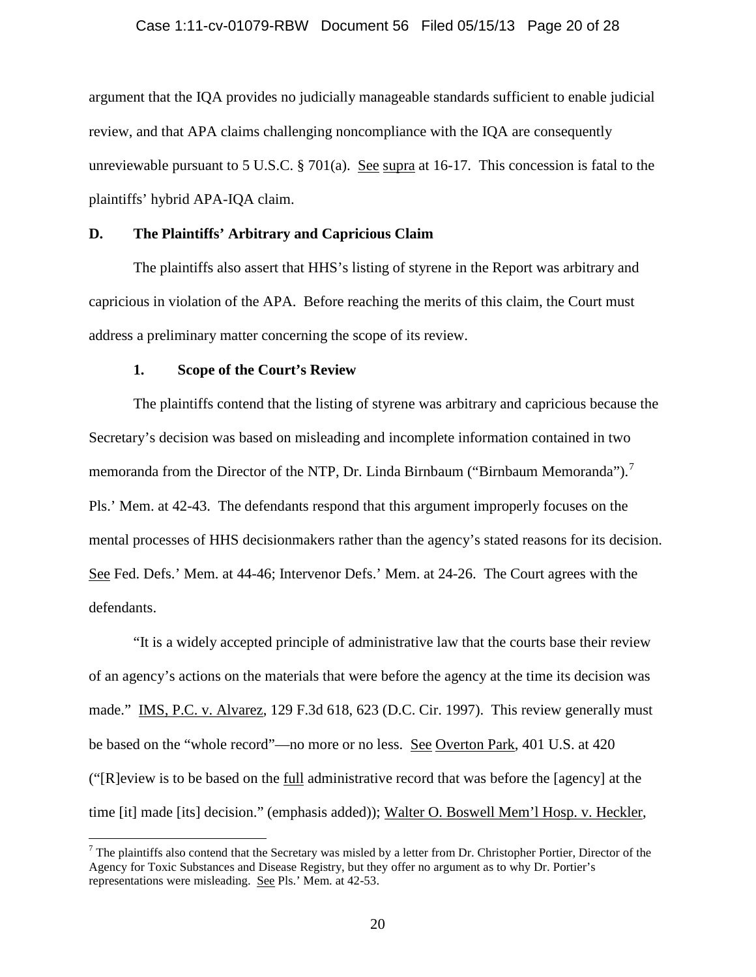## Case 1:11-cv-01079-RBW Document 56 Filed 05/15/13 Page 20 of 28

argument that the IQA provides no judicially manageable standards sufficient to enable judicial review, and that APA claims challenging noncompliance with the IQA are consequently unreviewable pursuant to 5 U.S.C.  $\S 701(a)$ . See supra at 16-17. This concession is fatal to the plaintiffs' hybrid APA-IQA claim.

# **D. The Plaintiffs' Arbitrary and Capricious Claim**

The plaintiffs also assert that HHS's listing of styrene in the Report was arbitrary and capricious in violation of the APA. Before reaching the merits of this claim, the Court must address a preliminary matter concerning the scope of its review.

## **1. Scope of the Court's Review**

The plaintiffs contend that the listing of styrene was arbitrary and capricious because the Secretary's decision was based on misleading and incomplete information contained in two memoranda from the Director of the NTP, Dr. Linda Birnbaum ("Birnbaum Memoranda").<sup>[7](#page-19-0)</sup> Pls.' Mem. at 42-43. The defendants respond that this argument improperly focuses on the mental processes of HHS decisionmakers rather than the agency's stated reasons for its decision. See Fed. Defs.' Mem. at 44-46; Intervenor Defs.' Mem. at 24-26. The Court agrees with the defendants.

"It is a widely accepted principle of administrative law that the courts base their review of an agency's actions on the materials that were before the agency at the time its decision was made." IMS, P.C. v. Alvarez, 129 F.3d 618, 623 (D.C. Cir. 1997). This review generally must be based on the "whole record"—no more or no less. See Overton Park, 401 U.S. at 420 ("[R]eview is to be based on the full administrative record that was before the [agency] at the time [it] made [its] decision." (emphasis added)); Walter O. Boswell Mem'l Hosp. v. Heckler,

<span id="page-19-0"></span> $<sup>7</sup>$  The plaintiffs also contend that the Secretary was misled by a letter from Dr. Christopher Portier, Director of the</sup> Agency for Toxic Substances and Disease Registry, but they offer no argument as to why Dr. Portier's representations were misleading. See Pls.' Mem. at 42-53.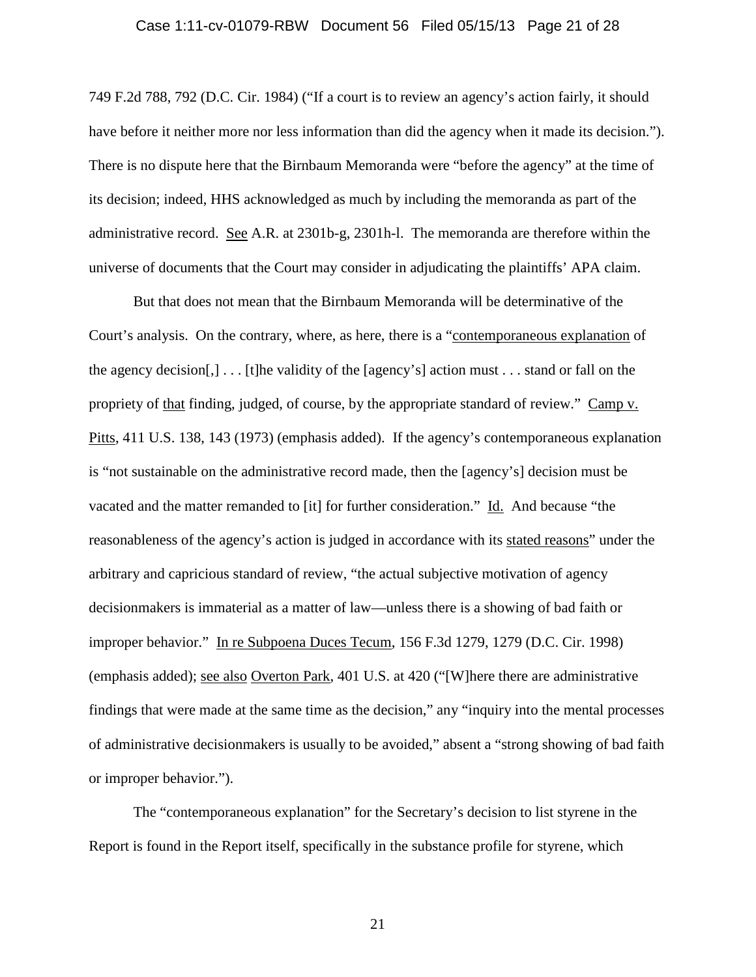## Case 1:11-cv-01079-RBW Document 56 Filed 05/15/13 Page 21 of 28

749 F.2d 788, 792 (D.C. Cir. 1984) ("If a court is to review an agency's action fairly, it should have before it neither more nor less information than did the agency when it made its decision."). There is no dispute here that the Birnbaum Memoranda were "before the agency" at the time of its decision; indeed, HHS acknowledged as much by including the memoranda as part of the administrative record. See A.R. at 2301b-g, 2301h-l. The memoranda are therefore within the universe of documents that the Court may consider in adjudicating the plaintiffs' APA claim.

But that does not mean that the Birnbaum Memoranda will be determinative of the Court's analysis. On the contrary, where, as here, there is a "contemporaneous explanation of the agency decision[,] . . . [t]he validity of the [agency's] action must . . . stand or fall on the propriety of that finding, judged, of course, by the appropriate standard of review." Camp v. Pitts, 411 U.S. 138, 143 (1973) (emphasis added). If the agency's contemporaneous explanation is "not sustainable on the administrative record made, then the [agency's] decision must be vacated and the matter remanded to [it] for further consideration." Id. And because "the reasonableness of the agency's action is judged in accordance with its stated reasons" under the arbitrary and capricious standard of review, "the actual subjective motivation of agency decisionmakers is immaterial as a matter of law—unless there is a showing of bad faith or improper behavior." In re Subpoena Duces Tecum, 156 F.3d 1279, 1279 (D.C. Cir. 1998) (emphasis added); see also Overton Park, 401 U.S. at 420 ("[W]here there are administrative findings that were made at the same time as the decision," any "inquiry into the mental processes of administrative decisionmakers is usually to be avoided," absent a "strong showing of bad faith or improper behavior.").

The "contemporaneous explanation" for the Secretary's decision to list styrene in the Report is found in the Report itself, specifically in the substance profile for styrene, which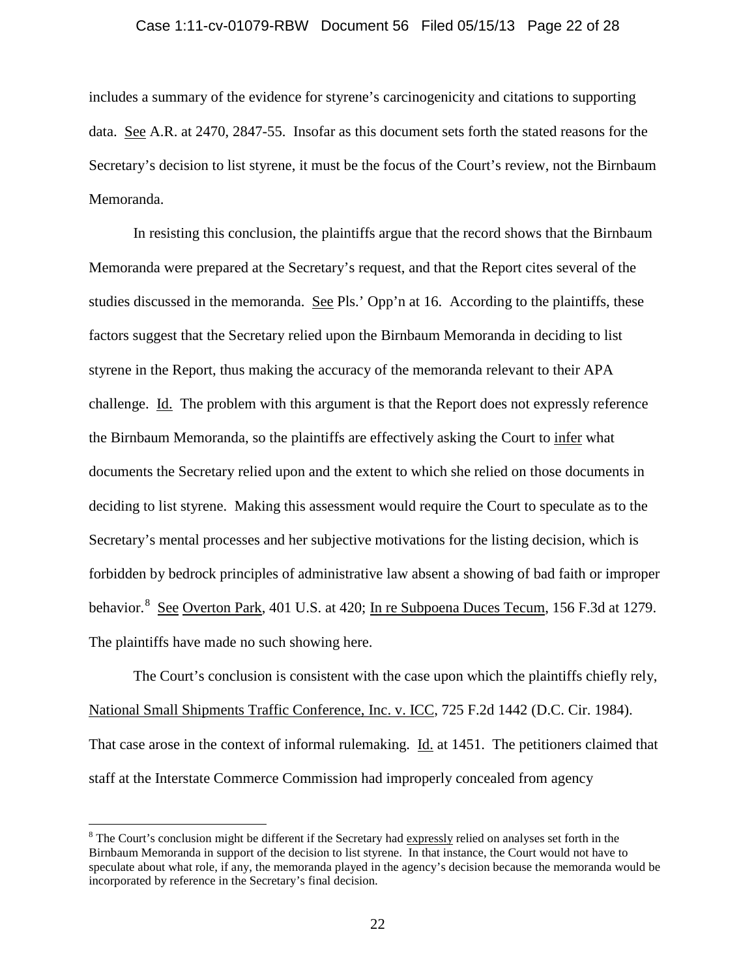## Case 1:11-cv-01079-RBW Document 56 Filed 05/15/13 Page 22 of 28

includes a summary of the evidence for styrene's carcinogenicity and citations to supporting data. See A.R. at 2470, 2847-55. Insofar as this document sets forth the stated reasons for the Secretary's decision to list styrene, it must be the focus of the Court's review, not the Birnbaum Memoranda.

In resisting this conclusion, the plaintiffs argue that the record shows that the Birnbaum Memoranda were prepared at the Secretary's request, and that the Report cites several of the studies discussed in the memoranda. See Pls.' Opp'n at 16. According to the plaintiffs, these factors suggest that the Secretary relied upon the Birnbaum Memoranda in deciding to list styrene in the Report, thus making the accuracy of the memoranda relevant to their APA challenge. Id. The problem with this argument is that the Report does not expressly reference the Birnbaum Memoranda, so the plaintiffs are effectively asking the Court to infer what documents the Secretary relied upon and the extent to which she relied on those documents in deciding to list styrene. Making this assessment would require the Court to speculate as to the Secretary's mental processes and her subjective motivations for the listing decision, which is forbidden by bedrock principles of administrative law absent a showing of bad faith or improper behavior.<sup>[8](#page-21-0)</sup> See Overton Park, 401 U.S. at 420; In re Subpoena Duces Tecum, 156 F.3d at 1279. The plaintiffs have made no such showing here.

The Court's conclusion is consistent with the case upon which the plaintiffs chiefly rely, National Small Shipments Traffic Conference, Inc. v. ICC, 725 F.2d 1442 (D.C. Cir. 1984). That case arose in the context of informal rulemaking. Id. at 1451. The petitioners claimed that staff at the Interstate Commerce Commission had improperly concealed from agency

<span id="page-21-0"></span><sup>&</sup>lt;sup>8</sup> The Court's conclusion might be different if the Secretary had expressly relied on analyses set forth in the Birnbaum Memoranda in support of the decision to list styrene. In that instance, the Court would not have to speculate about what role, if any, the memoranda played in the agency's decision because the memoranda would be incorporated by reference in the Secretary's final decision.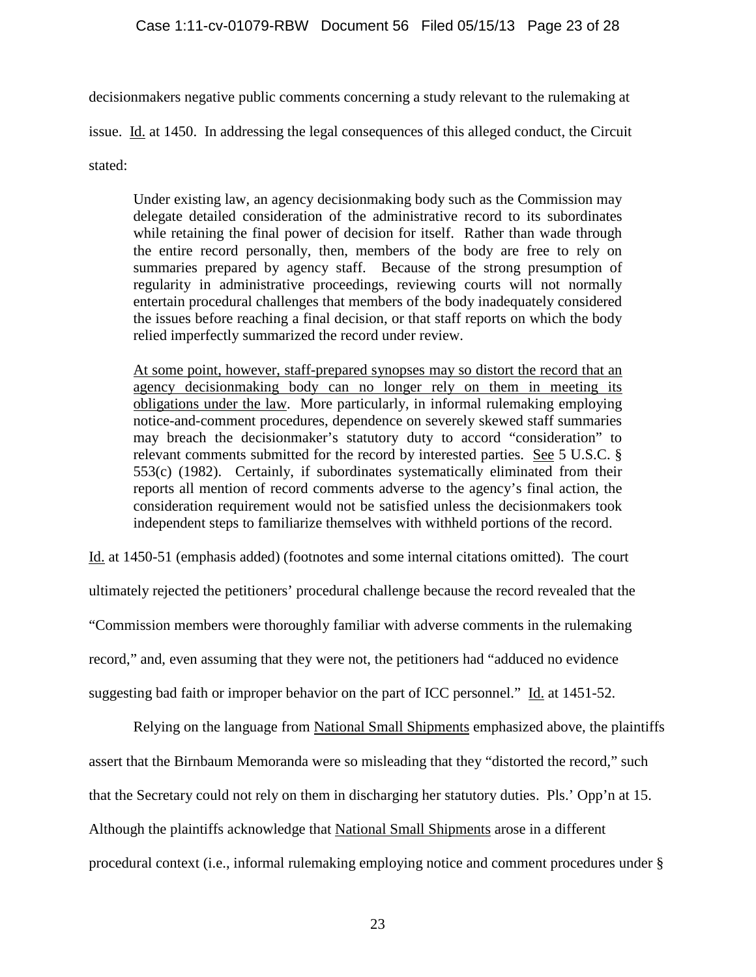decisionmakers negative public comments concerning a study relevant to the rulemaking at

issue. Id. at 1450. In addressing the legal consequences of this alleged conduct, the Circuit

stated:

Under existing law, an agency decisionmaking body such as the Commission may delegate detailed consideration of the administrative record to its subordinates while retaining the final power of decision for itself. Rather than wade through the entire record personally, then, members of the body are free to rely on summaries prepared by agency staff. Because of the strong presumption of regularity in administrative proceedings, reviewing courts will not normally entertain procedural challenges that members of the body inadequately considered the issues before reaching a final decision, or that staff reports on which the body relied imperfectly summarized the record under review.

At some point, however, staff-prepared synopses may so distort the record that an agency decisionmaking body can no longer rely on them in meeting its obligations under the law. More particularly, in informal rulemaking employing notice-and-comment procedures, dependence on severely skewed staff summaries may breach the decisionmaker's statutory duty to accord "consideration" to relevant comments submitted for the record by interested parties. See 5 U.S.C. § 553(c) (1982). Certainly, if subordinates systematically eliminated from their reports all mention of record comments adverse to the agency's final action, the consideration requirement would not be satisfied unless the decisionmakers took independent steps to familiarize themselves with withheld portions of the record.

Id. at 1450-51 (emphasis added) (footnotes and some internal citations omitted). The court

ultimately rejected the petitioners' procedural challenge because the record revealed that the

"Commission members were thoroughly familiar with adverse comments in the rulemaking

record," and, even assuming that they were not, the petitioners had "adduced no evidence

suggesting bad faith or improper behavior on the part of ICC personnel." Id. at 1451-52.

Relying on the language from National Small Shipments emphasized above, the plaintiffs assert that the Birnbaum Memoranda were so misleading that they "distorted the record," such that the Secretary could not rely on them in discharging her statutory duties. Pls.' Opp'n at 15. Although the plaintiffs acknowledge that National Small Shipments arose in a different procedural context (i.e., informal rulemaking employing notice and comment procedures under §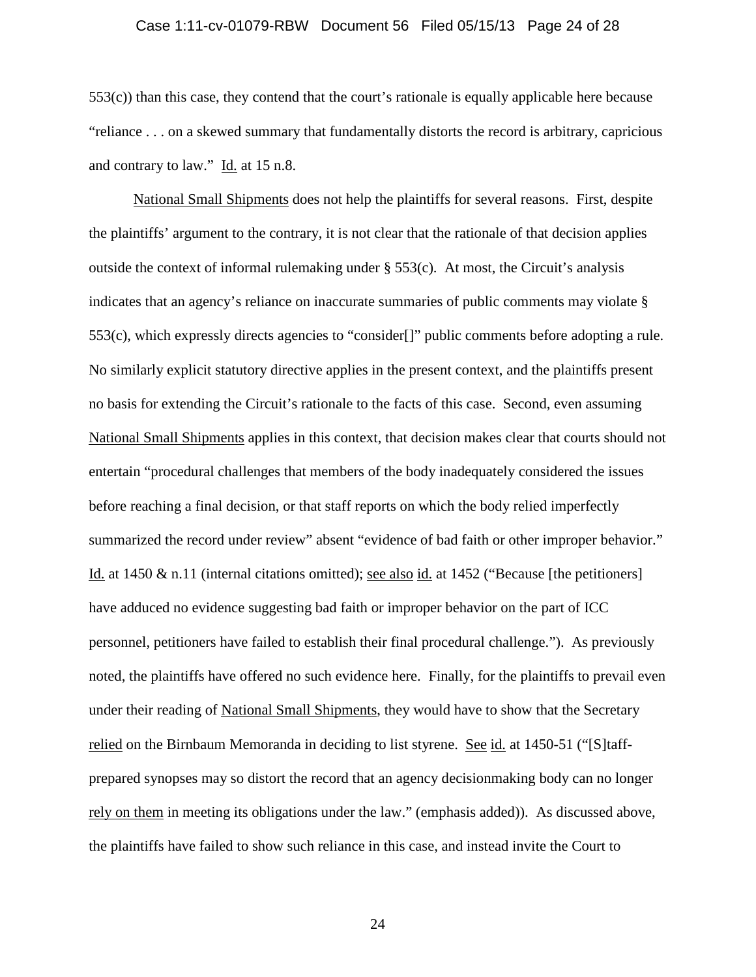## Case 1:11-cv-01079-RBW Document 56 Filed 05/15/13 Page 24 of 28

553(c)) than this case, they contend that the court's rationale is equally applicable here because "reliance . . . on a skewed summary that fundamentally distorts the record is arbitrary, capricious and contrary to law." Id. at 15 n.8.

National Small Shipments does not help the plaintiffs for several reasons. First, despite the plaintiffs' argument to the contrary, it is not clear that the rationale of that decision applies outside the context of informal rulemaking under  $\S$  553(c). At most, the Circuit's analysis indicates that an agency's reliance on inaccurate summaries of public comments may violate § 553(c), which expressly directs agencies to "consider[]" public comments before adopting a rule. No similarly explicit statutory directive applies in the present context, and the plaintiffs present no basis for extending the Circuit's rationale to the facts of this case. Second, even assuming National Small Shipments applies in this context, that decision makes clear that courts should not entertain "procedural challenges that members of the body inadequately considered the issues before reaching a final decision, or that staff reports on which the body relied imperfectly summarized the record under review" absent "evidence of bad faith or other improper behavior." Id. at 1450 & n.11 (internal citations omitted); see also id. at 1452 ("Because [the petitioners] have adduced no evidence suggesting bad faith or improper behavior on the part of ICC personnel, petitioners have failed to establish their final procedural challenge."). As previously noted, the plaintiffs have offered no such evidence here. Finally, for the plaintiffs to prevail even under their reading of National Small Shipments, they would have to show that the Secretary relied on the Birnbaum Memoranda in deciding to list styrene. See id. at 1450-51 ("[S]taffprepared synopses may so distort the record that an agency decisionmaking body can no longer rely on them in meeting its obligations under the law." (emphasis added)). As discussed above, the plaintiffs have failed to show such reliance in this case, and instead invite the Court to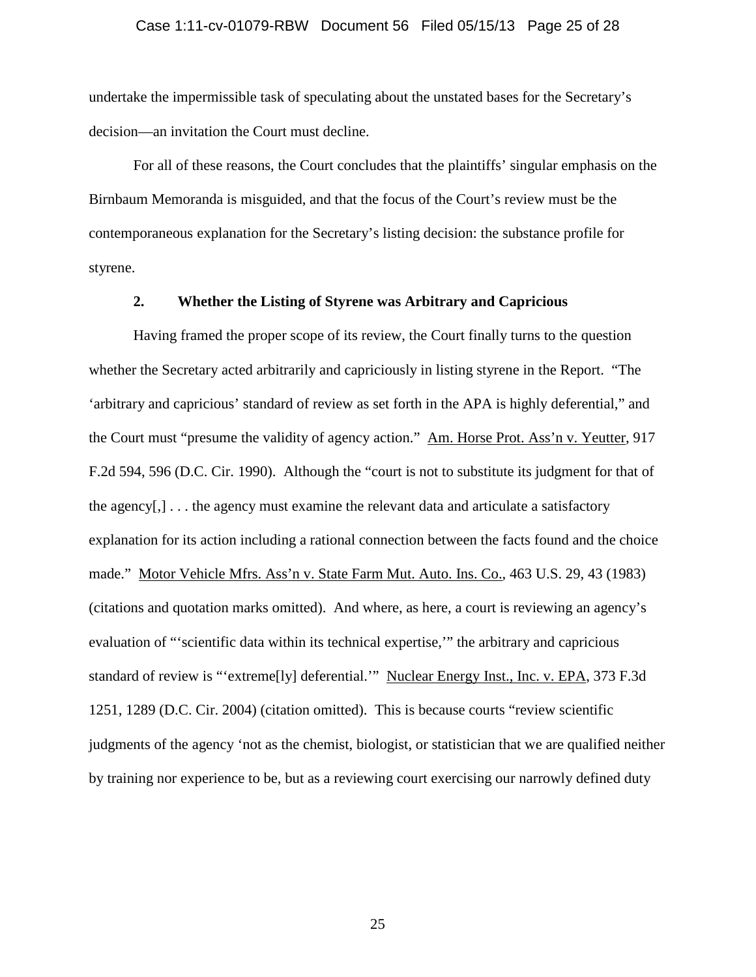## Case 1:11-cv-01079-RBW Document 56 Filed 05/15/13 Page 25 of 28

undertake the impermissible task of speculating about the unstated bases for the Secretary's decision—an invitation the Court must decline.

For all of these reasons, the Court concludes that the plaintiffs' singular emphasis on the Birnbaum Memoranda is misguided, and that the focus of the Court's review must be the contemporaneous explanation for the Secretary's listing decision: the substance profile for styrene.

# **2. Whether the Listing of Styrene was Arbitrary and Capricious**

Having framed the proper scope of its review, the Court finally turns to the question whether the Secretary acted arbitrarily and capriciously in listing styrene in the Report. "The 'arbitrary and capricious' standard of review as set forth in the APA is highly deferential," and the Court must "presume the validity of agency action." Am. Horse Prot. Ass'n v. Yeutter, 917 F.2d 594, 596 (D.C. Cir. 1990). Although the "court is not to substitute its judgment for that of the agency[,] . . . the agency must examine the relevant data and articulate a satisfactory explanation for its action including a rational connection between the facts found and the choice made." Motor Vehicle Mfrs. Ass'n v. State Farm Mut. Auto. Ins. Co., 463 U.S. 29, 43 (1983) (citations and quotation marks omitted). And where, as here, a court is reviewing an agency's evaluation of "'scientific data within its technical expertise,'" the arbitrary and capricious standard of review is "'extreme[ly] deferential.'" Nuclear Energy Inst., Inc. v. EPA, 373 F.3d 1251, 1289 (D.C. Cir. 2004) (citation omitted). This is because courts "review scientific judgments of the agency 'not as the chemist, biologist, or statistician that we are qualified neither by training nor experience to be, but as a reviewing court exercising our narrowly defined duty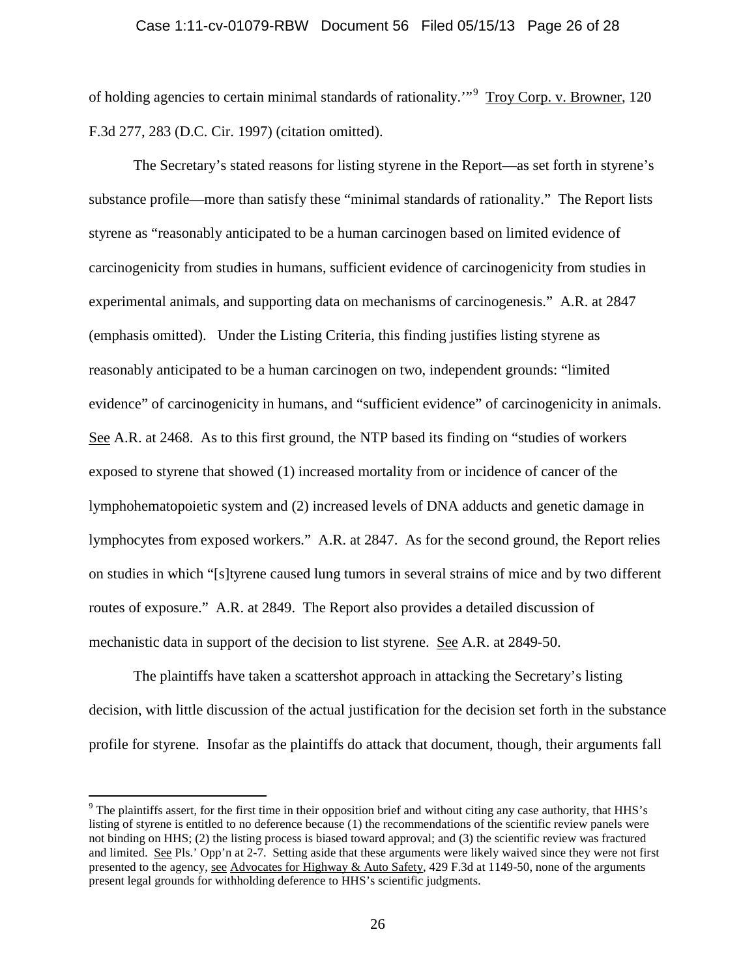## Case 1:11-cv-01079-RBW Document 56 Filed 05/15/13 Page 26 of 28

of holding agencies to certain minimal standards of rationality."<sup>[9](#page-25-0)</sup> Troy Corp. v. Browner, 120 F.3d 277, 283 (D.C. Cir. 1997) (citation omitted).

The Secretary's stated reasons for listing styrene in the Report—as set forth in styrene's substance profile—more than satisfy these "minimal standards of rationality." The Report lists styrene as "reasonably anticipated to be a human carcinogen based on limited evidence of carcinogenicity from studies in humans, sufficient evidence of carcinogenicity from studies in experimental animals, and supporting data on mechanisms of carcinogenesis." A.R. at 2847 (emphasis omitted). Under the Listing Criteria, this finding justifies listing styrene as reasonably anticipated to be a human carcinogen on two, independent grounds: "limited evidence" of carcinogenicity in humans, and "sufficient evidence" of carcinogenicity in animals. See A.R. at 2468. As to this first ground, the NTP based its finding on "studies of workers exposed to styrene that showed (1) increased mortality from or incidence of cancer of the lymphohematopoietic system and (2) increased levels of DNA adducts and genetic damage in lymphocytes from exposed workers." A.R. at 2847. As for the second ground, the Report relies on studies in which "[s]tyrene caused lung tumors in several strains of mice and by two different routes of exposure." A.R. at 2849. The Report also provides a detailed discussion of mechanistic data in support of the decision to list styrene. See A.R. at 2849-50.

The plaintiffs have taken a scattershot approach in attacking the Secretary's listing decision, with little discussion of the actual justification for the decision set forth in the substance profile for styrene. Insofar as the plaintiffs do attack that document, though, their arguments fall

<span id="page-25-0"></span><sup>&</sup>lt;sup>9</sup> The plaintiffs assert, for the first time in their opposition brief and without citing any case authority, that HHS's listing of styrene is entitled to no deference because (1) the recommendations of the scientific review panels were not binding on HHS; (2) the listing process is biased toward approval; and (3) the scientific review was fractured and limited. See Pls.' Opp'n at 2-7. Setting aside that these arguments were likely waived since they were not first presented to the agency, see Advocates for Highway & Auto Safety, 429 F.3d at 1149-50, none of the arguments present legal grounds for withholding deference to HHS's scientific judgments.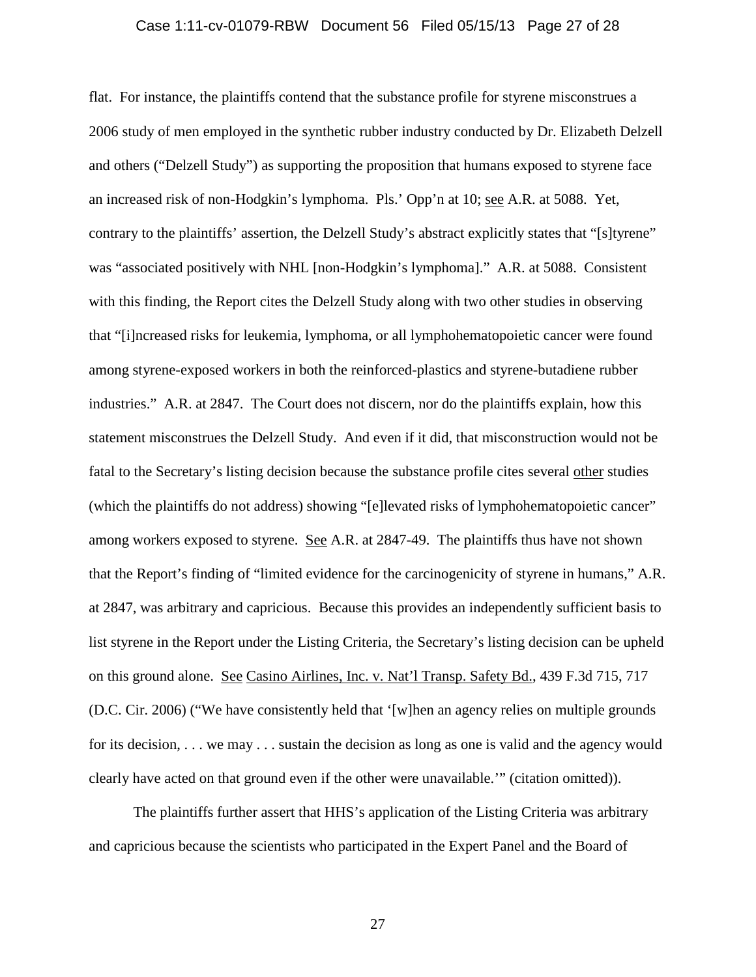#### Case 1:11-cv-01079-RBW Document 56 Filed 05/15/13 Page 27 of 28

flat. For instance, the plaintiffs contend that the substance profile for styrene misconstrues a 2006 study of men employed in the synthetic rubber industry conducted by Dr. Elizabeth Delzell and others ("Delzell Study") as supporting the proposition that humans exposed to styrene face an increased risk of non-Hodgkin's lymphoma. Pls.' Opp'n at 10; see A.R. at 5088. Yet, contrary to the plaintiffs' assertion, the Delzell Study's abstract explicitly states that "[s]tyrene" was "associated positively with NHL [non-Hodgkin's lymphoma]." A.R. at 5088. Consistent with this finding, the Report cites the Delzell Study along with two other studies in observing that "[i]ncreased risks for leukemia, lymphoma, or all lymphohematopoietic cancer were found among styrene-exposed workers in both the reinforced-plastics and styrene-butadiene rubber industries." A.R. at 2847. The Court does not discern, nor do the plaintiffs explain, how this statement misconstrues the Delzell Study. And even if it did, that misconstruction would not be fatal to the Secretary's listing decision because the substance profile cites several other studies (which the plaintiffs do not address) showing "[e]levated risks of lymphohematopoietic cancer" among workers exposed to styrene. See A.R. at 2847-49. The plaintiffs thus have not shown that the Report's finding of "limited evidence for the carcinogenicity of styrene in humans," A.R. at 2847, was arbitrary and capricious. Because this provides an independently sufficient basis to list styrene in the Report under the Listing Criteria, the Secretary's listing decision can be upheld on this ground alone. See Casino Airlines, Inc. v. Nat'l Transp. Safety Bd., 439 F.3d 715, 717 (D.C. Cir. 2006) ("We have consistently held that '[w]hen an agency relies on multiple grounds for its decision, . . . we may . . . sustain the decision as long as one is valid and the agency would clearly have acted on that ground even if the other were unavailable.'" (citation omitted)).

The plaintiffs further assert that HHS's application of the Listing Criteria was arbitrary and capricious because the scientists who participated in the Expert Panel and the Board of